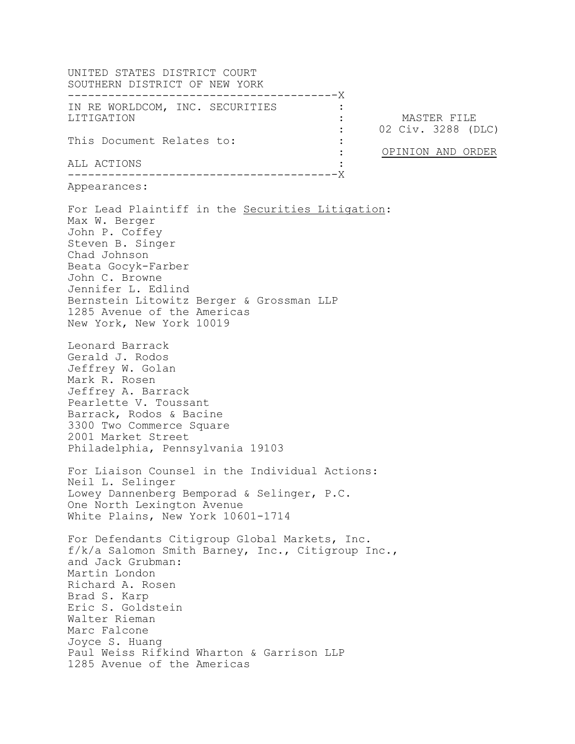UNITED STATES DISTRICT COURT SOUTHERN DISTRICT OF NEW YORK --------------------------------------- -X IN RE WORLDCOM, INC. SECURITIES LITIGATION This Document Relates to: ALL ACTIONS --------------------------------------- -X : : : 02 Civ. 3288 (DLC)  $\cdot$  : : : MASTER FILE OPINION AND ORDER Appearances: For Lead Plaintiff in the Securities Litigation: Max W. Berger John P. Coffey Steven B. Singer Chad Johnson Beata Gocyk-Farber John C. Browne Jennifer L. Edlind Bernstein Litowitz Berger & Grossman LLP 1285 Avenue of the Americas New York, New York 10019 Leonard Barrack Gerald J. Rodos Jeffrey W. Golan Mark R. Rosen Jeffrey A. Barrack Pearlette V. Toussant Barrack, Rodos & Bacine 3300 Two Commerce Square 2001 Market Street Philadelphia, Pennsylvania 19103 For Liaison Counsel in the Individual Actions: Neil L. Selinger Lowey Dannenberg Bemporad & Selinger, P.C. One North Lexington Avenue White Plains, New York 10601-1714 For Defendants Citigroup Global Markets, Inc. f/k/a Salomon Smith Barney, Inc., Citigroup Inc., and Jack Grubman: Martin London Richard A. Rosen Brad S. Karp Eric S. Goldstein Walter Rieman Marc Falcone Joyce S. Huang Paul Weiss Rifkind Wharton & Garrison LLP 1285 Avenue of the Americas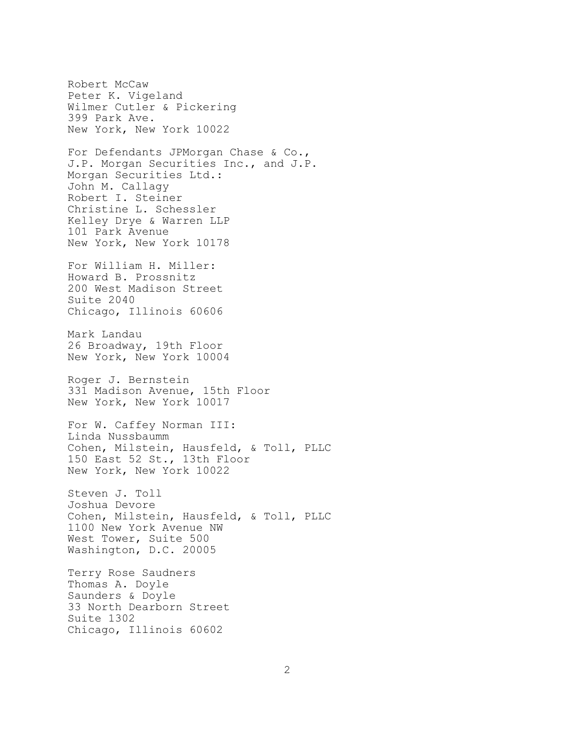Robert McCaw Peter K. Vigeland Wilmer Cutler & Pickering 399 Park Ave. New York, New York 10022 For Defendants JPMorgan Chase & Co., J.P. Morgan Securities Inc., and J.P. Morgan Securities Ltd.: John M. Callagy Robert I. Steiner Christine L. Schessler Kelley Drye & Warren LLP 101 Park Avenue New York, New York 10178 For William H. Miller: Howard B. Prossnitz 200 West Madison Street Suite 2040 Chicago, Illinois 60606 Mark Landau 26 Broadway, 19th Floor New York, New York 10004 Roger J. Bernstein 331 Madison Avenue, 15th Floor New York, New York 10017 For W. Caffey Norman III: Linda Nussbaumm Cohen, Milstein, Hausfeld, & Toll, PLLC 150 East 52 St., 13th Floor New York, New York 10022 Steven J. Toll Joshua Devore Cohen, Milstein, Hausfeld, & Toll, PLLC 1100 New York Avenue NW West Tower, Suite 500 Washington, D.C. 20005 Terry Rose Saudners Thomas A. Doyle Saunders & Doyle 33 North Dearborn Street Suite 1302

Chicago, Illinois 60602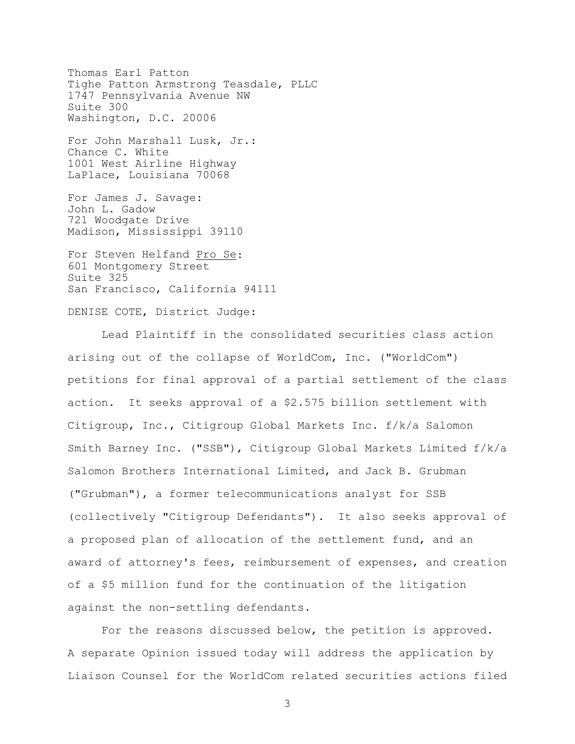Thomas Earl Patton Tighe Patton Armstrong Teasdale, PLLC 1747 Pennsylvania Avenue NW Suite 300 Washington, D.C. 20006 For John Marshall Lusk, Jr.: Chance C. White 1001 West Airline Highway LaPlace, Louisiana 70068 For James J. Savage: John L. Gadow 721 Woodgate Drive Madison, Mississippi 39110 For Steven Helfand Pro Se: 601 Montgomery Street Suite 325 San Francisco, California 94111

DENISE COTE, District Judge:

Lead Plaintiff in the consolidated securities class action arising out of the collapse of WorldCom, Inc. ("WorldCom") petitions for final approval of a partial settlement of the class action. It seeks approval of a \$2.575 billion settlement with Citigroup, Inc., Citigroup Global Markets Inc. f/k/a Salomon Smith Barney Inc. ("SSB"), Citigroup Global Markets Limited f/k/a Salomon Brothers International Limited, and Jack B. Grubman ("Grubman"), a former telecommunications analyst for SSB (collectively "Citigroup Defendants"). It also seeks approval of a proposed plan of allocation of the settlement fund, and an award of attorney's fees, reimbursement of expenses, and creation of a \$5 million fund for the continuation of the litigation against the non-settling defendants.

For the reasons discussed below, the petition is approved. A separate Opinion issued today will address the application by Liaison Counsel for the WorldCom related securities actions filed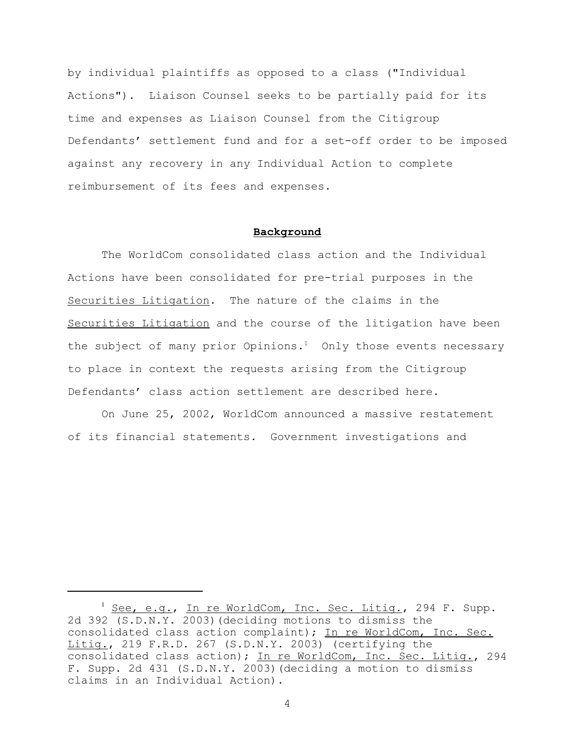by individual plaintiffs as opposed to a class ("Individual Actions"). Liaison Counsel seeks to be partially paid for its time and expenses as Liaison Counsel from the Citigroup Defendants' settlement fund and for a set-off order to be imposed against any recovery in any Individual Action to complete reimbursement of its fees and expenses.

# **Background**

The WorldCom consolidated class action and the Individual Actions have been consolidated for pre-trial purposes in the Securities Litigation. The nature of the claims in the Securities Litigation and the course of the litigation have been the subject of many prior Opinions.<sup>1</sup> Only those events necessary to place in context the requests arising from the Citigroup Defendants' class action settlement are described here.

On June 25, 2002, WorldCom announced a massive restatement of its financial statements. Government investigations and

<sup>&</sup>lt;sup>1</sup> See, e.g., In re WorldCom, Inc. Sec. Litig., 294 F. Supp. 2d 392 (S.D.N.Y. 2003)(deciding motions to dismiss the consolidated class action complaint); In re WorldCom, Inc. Sec. Litig., 219 F.R.D. 267 (S.D.N.Y. 2003) (certifying the consolidated class action); In re WorldCom, Inc. Sec. Litig., 294 F. Supp. 2d 431 (S.D.N.Y. 2003)(deciding a motion to dismiss claims in an Individual Action).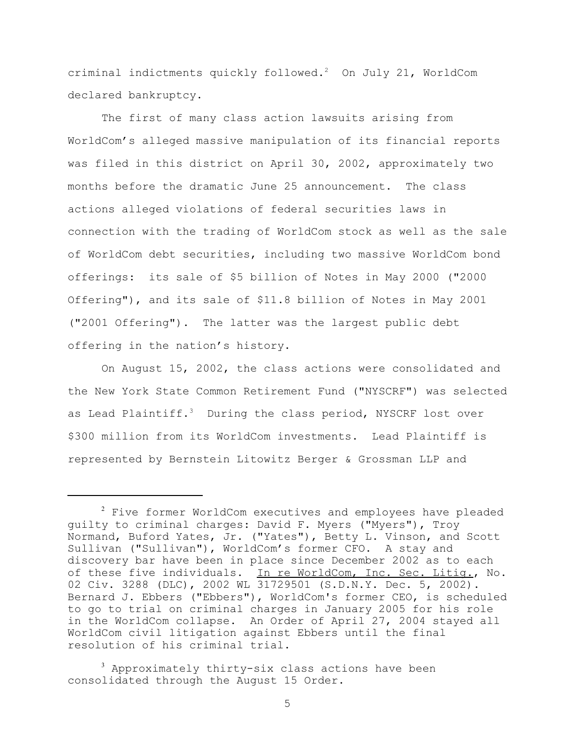criminal indictments quickly followed. $2$  On July 21, WorldCom declared bankruptcy.

The first of many class action lawsuits arising from WorldCom's alleged massive manipulation of its financial reports was filed in this district on April 30, 2002, approximately two months before the dramatic June 25 announcement. The class actions alleged violations of federal securities laws in connection with the trading of WorldCom stock as well as the sale of WorldCom debt securities, including two massive WorldCom bond offerings: its sale of \$5 billion of Notes in May 2000 ("2000 Offering"), and its sale of \$11.8 billion of Notes in May 2001 ("2001 Offering"). The latter was the largest public debt offering in the nation's history.

On August 15, 2002, the class actions were consolidated and the New York State Common Retirement Fund ("NYSCRF") was selected as Lead Plaintiff.<sup>3</sup> During the class period, NYSCRF lost over \$300 million from its WorldCom investments. Lead Plaintiff is represented by Bernstein Litowitz Berger & Grossman LLP and

<sup>&</sup>lt;sup>2</sup> Five former WorldCom executives and employees have pleaded guilty to criminal charges: David F. Myers ("Myers"), Troy Normand, Buford Yates, Jr. ("Yates"), Betty L. Vinson, and Scott Sullivan ("Sullivan"), WorldCom's former CFO. A stay and discovery bar have been in place since December 2002 as to each of these five individuals. In re WorldCom, Inc. Sec. Litig., No. 02 Civ. 3288 (DLC), 2002 WL 31729501 (S.D.N.Y. Dec. 5, 2002). Bernard J. Ebbers ("Ebbers"), WorldCom's former CEO, is scheduled to go to trial on criminal charges in January 2005 for his role in the WorldCom collapse. An Order of April 27, 2004 stayed all WorldCom civil litigation against Ebbers until the final resolution of his criminal trial.

<sup>&</sup>lt;sup>3</sup> Approximately thirty-six class actions have been consolidated through the August 15 Order.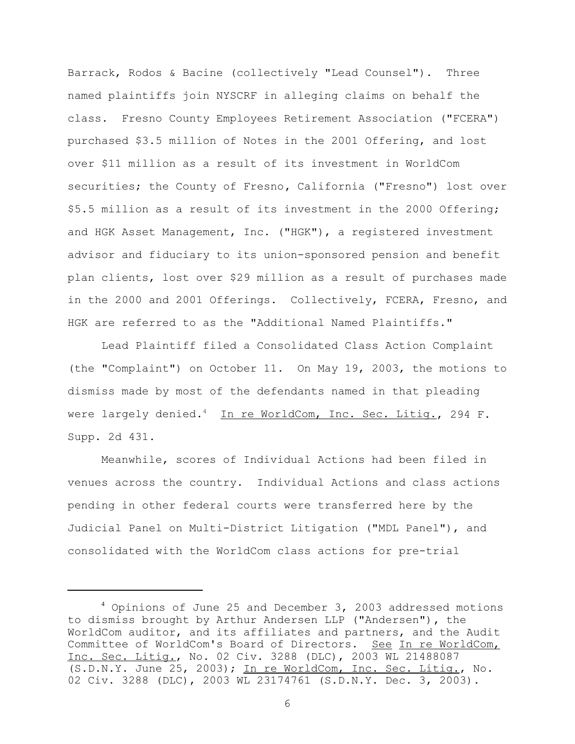Barrack, Rodos & Bacine (collectively "Lead Counsel"). Three named plaintiffs join NYSCRF in alleging claims on behalf the class. Fresno County Employees Retirement Association ("FCERA") purchased \$3.5 million of Notes in the 2001 Offering, and lost over \$11 million as a result of its investment in WorldCom securities; the County of Fresno**,** California ("Fresno") lost over \$5.5 million as a result of its investment in the 2000 Offering; and HGK Asset Management, Inc. ("HGK"), a registered investment advisor and fiduciary to its union-sponsored pension and benefit plan clients, lost over \$29 million as a result of purchases made in the 2000 and 2001 Offerings. Collectively, FCERA, Fresno, and HGK are referred to as the "Additional Named Plaintiffs."

Lead Plaintiff filed a Consolidated Class Action Complaint (the "Complaint") on October 11. On May 19, 2003, the motions to dismiss made by most of the defendants named in that pleading were largely denied.<sup>4</sup> In re WorldCom, Inc. Sec. Litig., 294 F. Supp. 2d 431.

Meanwhile, scores of Individual Actions had been filed in venues across the country. Individual Actions and class actions pending in other federal courts were transferred here by the Judicial Panel on Multi-District Litigation ("MDL Panel"), and consolidated with the WorldCom class actions for pre-trial

<sup>4</sup> Opinions of June 25 and December 3, 2003 addressed motions to dismiss brought by Arthur Andersen LLP ("Andersen")**,** the WorldCom auditor, and its affiliates and partners, and the Audit Committee of WorldCom's Board of Directors. See In re WorldCom, Inc. Sec. Litig., No. 02 Civ. 3288 (DLC), 2003 WL 21488087 (S.D.N.Y. June 25, 2003); In re WorldCom, Inc. Sec. Litig., No. 02 Civ. 3288 (DLC), 2003 WL 23174761 (S.D.N.Y. Dec. 3, 2003).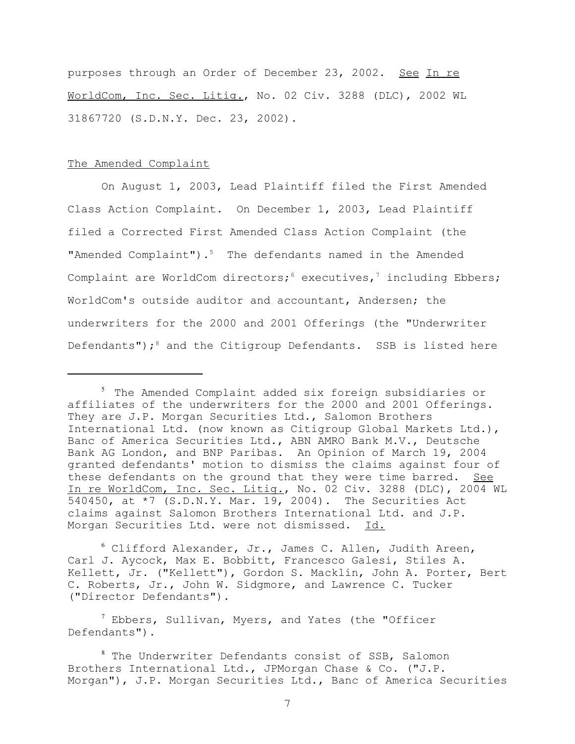purposes through an Order of December 23, 2002. See In re WorldCom, Inc. Sec. Litig., No. 02 Civ. 3288 (DLC), 2002 WL 31867720 (S.D.N.Y. Dec. 23, 2002).

### The Amended Complaint

On August 1, 2003, Lead Plaintiff filed the First Amended Class Action Complaint. On December 1, 2003, Lead Plaintiff filed a Corrected First Amended Class Action Complaint (the "Amended Complaint").<sup>5</sup> The defendants named in the Amended Complaint are WorldCom directors;  $6$  executives,<sup>7</sup> including Ebbers; WorldCom's outside auditor and accountant, Andersen; the underwriters for the 2000 and 2001 Offerings (the "Underwriter Defendants");<sup>8</sup> and the Citigroup Defendants. SSB is listed here

 $6$  Clifford Alexander, Jr., James C. Allen, Judith Areen, Carl J. Aycock, Max E. Bobbitt, Francesco Galesi, Stiles A. Kellett, Jr. ("Kellett"), Gordon S. Macklin, John A. Porter, Bert C. Roberts, Jr., John W. Sidgmore, and Lawrence C. Tucker ("Director Defendants").

 $^7$  Ebbers, Sullivan, Myers, and Yates (the "Officer Defendants").

<sup>&</sup>lt;sup>5</sup> The Amended Complaint added six foreign subsidiaries or affiliates of the underwriters for the 2000 and 2001 Offerings. They are J.P. Morgan Securities Ltd., Salomon Brothers International Ltd. (now known as Citigroup Global Markets Ltd.), Banc of America Securities Ltd., ABN AMRO Bank M.V., Deutsche Bank AG London, and BNP Paribas. An Opinion of March 19, 2004 granted defendants' motion to dismiss the claims against four of these defendants on the ground that they were time barred. See In re WorldCom, Inc. Sec. Litig., No. 02 Civ. 3288 (DLC), 2004 WL 540450, at \*7 (S.D.N.Y. Mar. 19, 2004). The Securities Act claims against Salomon Brothers International Ltd. and J.P. Morgan Securities Ltd. were not dismissed. Id.

<sup>&</sup>lt;sup>8</sup> The Underwriter Defendants consist of SSB, Salomon Brothers International Ltd., JPMorgan Chase & Co. ("J.P. Morgan"), J.P. Morgan Securities Ltd., Banc of America Securities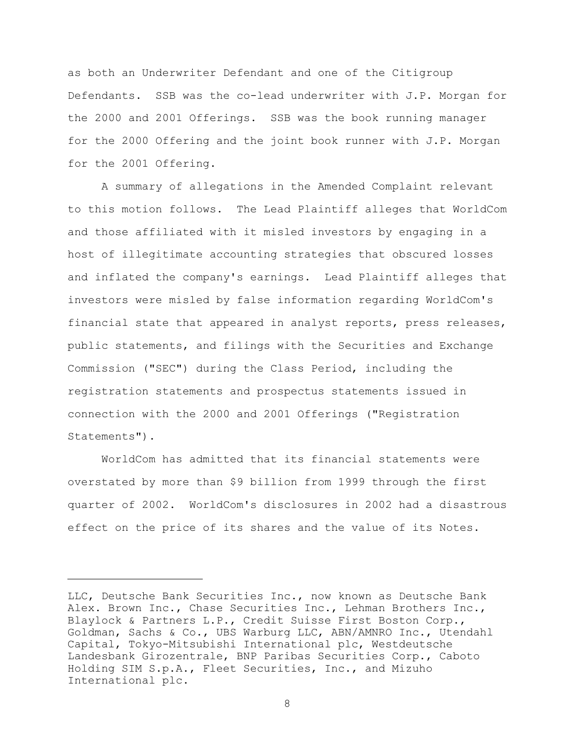as both an Underwriter Defendant and one of the Citigroup Defendants. SSB was the co-lead underwriter with J.P. Morgan for the 2000 and 2001 Offerings. SSB was the book running manager for the 2000 Offering and the joint book runner with J.P. Morgan for the 2001 Offering.

A summary of allegations in the Amended Complaint relevant to this motion follows. The Lead Plaintiff alleges that WorldCom and those affiliated with it misled investors by engaging in a host of illegitimate accounting strategies that obscured losses and inflated the company's earnings. Lead Plaintiff alleges that investors were misled by false information regarding WorldCom's financial state that appeared in analyst reports, press releases, public statements, and filings with the Securities and Exchange Commission ("SEC") during the Class Period, including the registration statements and prospectus statements issued in connection with the 2000 and 2001 Offerings ("Registration Statements").

WorldCom has admitted that its financial statements were overstated by more than \$9 billion from 1999 through the first quarter of 2002. WorldCom's disclosures in 2002 had a disastrous effect on the price of its shares and the value of its Notes.

LLC, Deutsche Bank Securities Inc., now known as Deutsche Bank Alex. Brown Inc., Chase Securities Inc., Lehman Brothers Inc., Blaylock & Partners L.P., Credit Suisse First Boston Corp., Goldman, Sachs & Co., UBS Warburg LLC, ABN/AMNRO Inc., Utendahl Capital, Tokyo-Mitsubishi International plc, Westdeutsche Landesbank Girozentrale, BNP Paribas Securities Corp., Caboto Holding SIM S.p.A., Fleet Securities, Inc., and Mizuho International plc.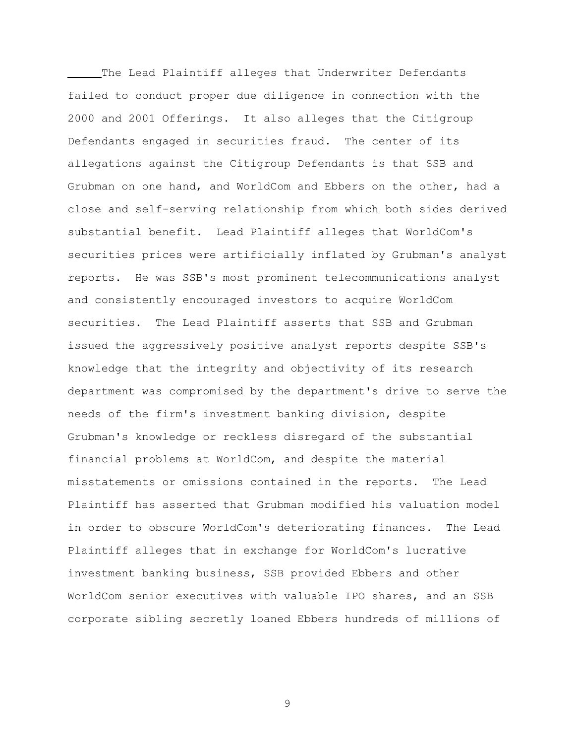The Lead Plaintiff alleges that Underwriter Defendants failed to conduct proper due diligence in connection with the 2000 and 2001 Offerings. It also alleges that the Citigroup Defendants engaged in securities fraud. The center of its allegations against the Citigroup Defendants is that SSB and Grubman on one hand, and WorldCom and Ebbers on the other, had a close and self-serving relationship from which both sides derived substantial benefit. Lead Plaintiff alleges that WorldCom's securities prices were artificially inflated by Grubman's analyst reports. He was SSB's most prominent telecommunications analyst and consistently encouraged investors to acquire WorldCom securities. The Lead Plaintiff asserts that SSB and Grubman issued the aggressively positive analyst reports despite SSB's knowledge that the integrity and objectivity of its research department was compromised by the department's drive to serve the needs of the firm's investment banking division, despite Grubman's knowledge or reckless disregard of the substantial financial problems at WorldCom, and despite the material misstatements or omissions contained in the reports. The Lead Plaintiff has asserted that Grubman modified his valuation model in order to obscure WorldCom's deteriorating finances. The Lead Plaintiff alleges that in exchange for WorldCom's lucrative investment banking business, SSB provided Ebbers and other WorldCom senior executives with valuable IPO shares, and an SSB corporate sibling secretly loaned Ebbers hundreds of millions of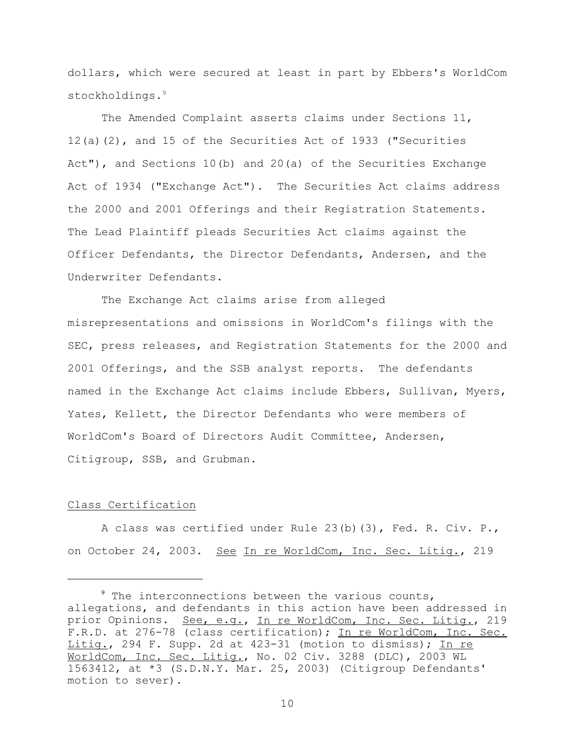dollars, which were secured at least in part by Ebbers's WorldCom stockholdings.<sup>9</sup>

The Amended Complaint asserts claims under Sections 11, 12(a)(2), and 15 of the Securities Act of 1933 ("Securities Act"), and Sections 10(b) and 20(a) of the Securities Exchange Act of 1934 ("Exchange Act"). The Securities Act claims address the 2000 and 2001 Offerings and their Registration Statements. The Lead Plaintiff pleads Securities Act claims against the Officer Defendants, the Director Defendants, Andersen, and the Underwriter Defendants.

The Exchange Act claims arise from alleged misrepresentations and omissions in WorldCom's filings with the SEC, press releases, and Registration Statements for the 2000 and 2001 Offerings, and the SSB analyst reports. The defendants named in the Exchange Act claims include Ebbers, Sullivan, Myers, Yates, Kellett, the Director Defendants who were members of WorldCom's Board of Directors Audit Committee, Andersen, Citigroup, SSB, and Grubman.

## Class Certification

A class was certified under Rule 23(b)(3), Fed. R. Civ. P., on October 24, 2003. See In re WorldCom, Inc. Sec. Litig., 219

<sup>&</sup>lt;sup>9</sup> The interconnections between the various counts, allegations, and defendants in this action have been addressed in prior Opinions. See, e.g., In re WorldCom, Inc. Sec. Litig., 219 F.R.D. at 276-78 (class certification); In re WorldCom, Inc. Sec. Litig., 294 F. Supp. 2d at 423-31 (motion to dismiss); In re WorldCom, Inc. Sec. Litig., No. 02 Civ. 3288 (DLC), 2003 WL 1563412, at \*3 (S.D.N.Y. Mar. 25, 2003) (Citigroup Defendants' motion to sever).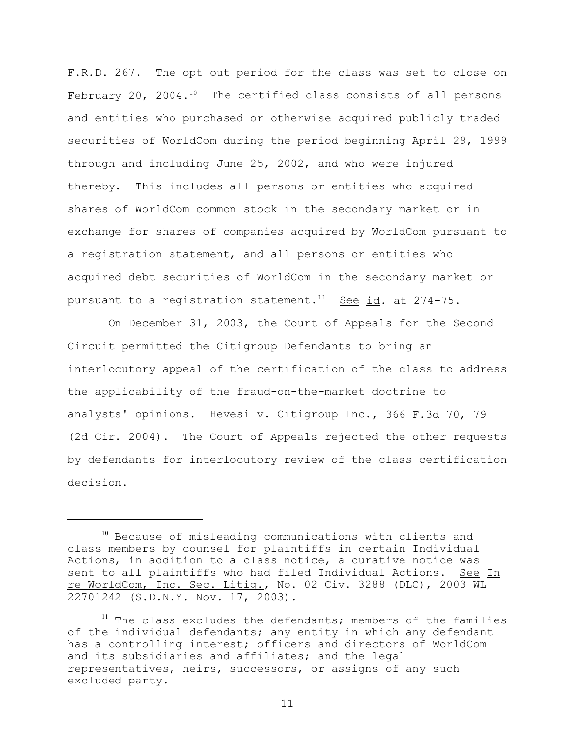F.R.D. 267. The opt out period for the class was set to close on February 20, 2004. $10$  The certified class consists of all persons and entities who purchased or otherwise acquired publicly traded securities of WorldCom during the period beginning April 29, 1999 through and including June 25, 2002, and who were injured thereby. This includes all persons or entities who acquired shares of WorldCom common stock in the secondary market or in exchange for shares of companies acquired by WorldCom pursuant to a registration statement, and all persons or entities who acquired debt securities of WorldCom in the secondary market or pursuant to a registration statement.<sup>11</sup> See id. at 274-75.

 On December 31, 2003, the Court of Appeals for the Second Circuit permitted the Citigroup Defendants to bring an interlocutory appeal of the certification of the class to address the applicability of the fraud-on-the-market doctrine to analysts' opinions. Hevesi v. Citigroup Inc., 366 F.3d 70, 79 (2d Cir. 2004). The Court of Appeals rejected the other requests by defendants for interlocutory review of the class certification decision.

<sup>10</sup> Because of misleading communications with clients and class members by counsel for plaintiffs in certain Individual Actions, in addition to a class notice, a curative notice was sent to all plaintiffs who had filed Individual Actions. See In re WorldCom, Inc. Sec. Litig., No. 02 Civ. 3288 (DLC), 2003 WL 22701242 (S.D.N.Y. Nov. 17, 2003).

 $11$  The class excludes the defendants; members of the families of the individual defendants; any entity in which any defendant has a controlling interest; officers and directors of WorldCom and its subsidiaries and affiliates; and the legal representatives, heirs, successors, or assigns of any such excluded party.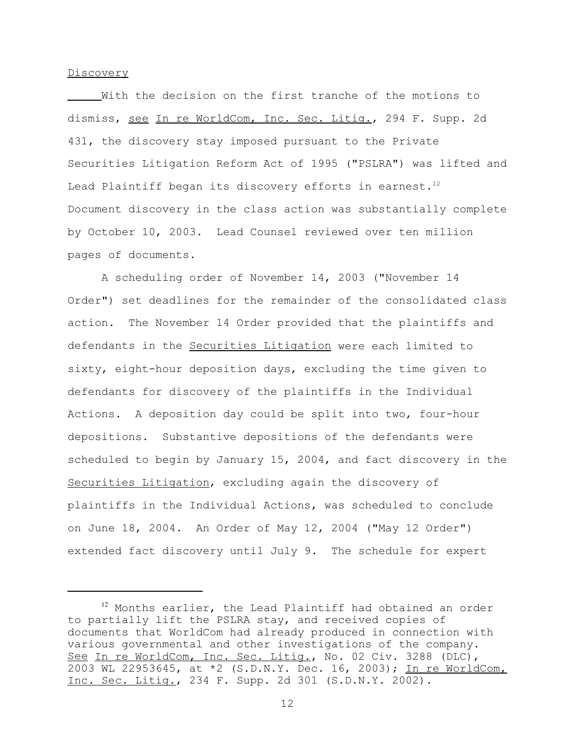### Discovery

With the decision on the first tranche of the motions to dismiss, see In re WorldCom, Inc. Sec. Litig., 294 F. Supp. 2d 431, the discovery stay imposed pursuant to the Private Securities Litigation Reform Act of 1995 ("PSLRA") was lifted and Lead Plaintiff began its discovery efforts in earnest. $12$ Document discovery in the class action was substantially complete by October 10, 2003. Lead Counsel reviewed over ten million pages of documents.

A scheduling order of November 14, 2003 ("November 14 Order") set deadlines for the remainder of the consolidated class action. The November 14 Order provided that the plaintiffs and defendants in the Securities Litigation were each limited to sixty, eight-hour deposition days, excluding the time given to defendants for discovery of the plaintiffs in the Individual Actions. A deposition day could be split into two, four-hour depositions. Substantive depositions of the defendants were scheduled to begin by January 15, 2004, and fact discovery in the Securities Litigation, excluding again the discovery of plaintiffs in the Individual Actions, was scheduled to conclude on June 18, 2004. An Order of May 12, 2004 ("May 12 Order") extended fact discovery until July 9. The schedule for expert

<sup>&</sup>lt;sup>12</sup> Months earlier, the Lead Plaintiff had obtained an order to partially lift the PSLRA stay, and received copies of documents that WorldCom had already produced in connection with various governmental and other investigations of the company. See In re WorldCom, Inc. Sec. Litig., No. 02 Civ. 3288 (DLC), 2003 WL 22953645, at \*2 (S.D.N.Y. Dec. 16, 2003); In re WorldCom, Inc. Sec. Litig., 234 F. Supp. 2d 301 (S.D.N.Y. 2002).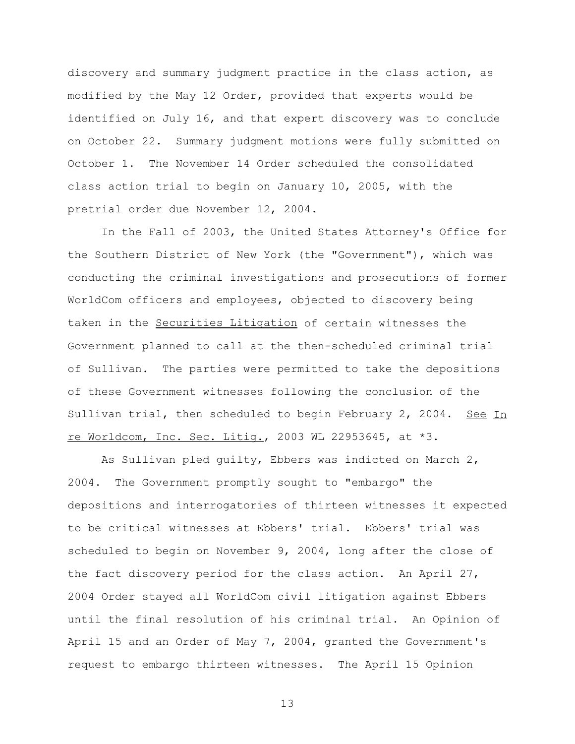discovery and summary judgment practice in the class action, as modified by the May 12 Order, provided that experts would be identified on July 16, and that expert discovery was to conclude on October 22. Summary judgment motions were fully submitted on October 1. The November 14 Order scheduled the consolidated class action trial to begin on January 10, 2005, with the pretrial order due November 12, 2004.

In the Fall of 2003, the United States Attorney's Office for the Southern District of New York (the "Government"), which was conducting the criminal investigations and prosecutions of former WorldCom officers and employees, objected to discovery being taken in the Securities Litigation of certain witnesses the Government planned to call at the then-scheduled criminal trial of Sullivan. The parties were permitted to take the depositions of these Government witnesses following the conclusion of the Sullivan trial, then scheduled to begin February 2, 2004. See In re Worldcom, Inc. Sec. Litig., 2003 WL 22953645, at \*3.

As Sullivan pled guilty, Ebbers was indicted on March 2, 2004. The Government promptly sought to "embargo" the depositions and interrogatories of thirteen witnesses it expected to be critical witnesses at Ebbers' trial. Ebbers' trial was scheduled to begin on November 9, 2004, long after the close of the fact discovery period for the class action. An April 27, 2004 Order stayed all WorldCom civil litigation against Ebbers until the final resolution of his criminal trial. An Opinion of April 15 and an Order of May 7, 2004, granted the Government's request to embargo thirteen witnesses. The April 15 Opinion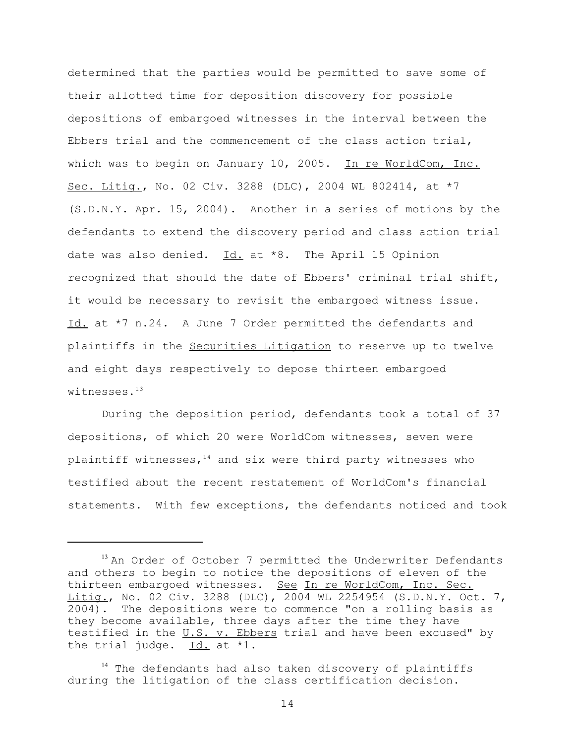determined that the parties would be permitted to save some of their allotted time for deposition discovery for possible depositions of embargoed witnesses in the interval between the Ebbers trial and the commencement of the class action trial, which was to begin on January 10, 2005. In re WorldCom, Inc. Sec. Litig., No. 02 Civ. 3288 (DLC), 2004 WL 802414, at \*7 (S.D.N.Y. Apr. 15, 2004). Another in a series of motions by the defendants to extend the discovery period and class action trial date was also denied.  $Id.$  at \*8. The April 15 Opinion recognized that should the date of Ebbers' criminal trial shift, it would be necessary to revisit the embargoed witness issue. Id. at \*7 n.24. A June 7 Order permitted the defendants and plaintiffs in the Securities Litigation to reserve up to twelve and eight days respectively to depose thirteen embargoed witnesses.<sup>13</sup>

During the deposition period, defendants took a total of 37 depositions, of which 20 were WorldCom witnesses, seven were plaintiff witnesses, $14$  and six were third party witnesses who testified about the recent restatement of WorldCom's financial statements. With few exceptions, the defendants noticed and took

<sup>&</sup>lt;sup>13</sup> An Order of October 7 permitted the Underwriter Defendants and others to begin to notice the depositions of eleven of the thirteen embargoed witnesses. See In re WorldCom, Inc. Sec. Litig., No. 02 Civ. 3288 (DLC), 2004 WL 2254954 (S.D.N.Y. Oct. 7, 2004). The depositions were to commence "on a rolling basis as they become available, three days after the time they have testified in the  $U.S.$  v. Ebbers trial and have been excused" by the trial judge.  $Id.$  at  $*1.$ 

<sup>&</sup>lt;sup>14</sup> The defendants had also taken discovery of plaintiffs during the litigation of the class certification decision.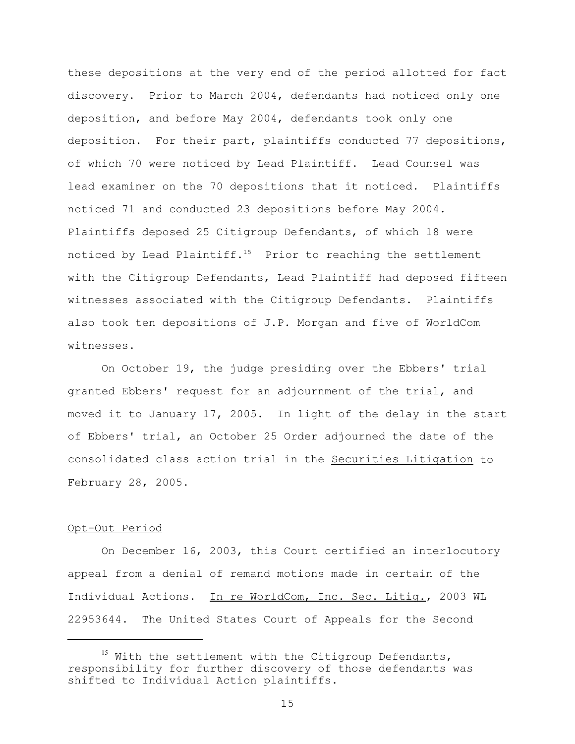these depositions at the very end of the period allotted for fact discovery. Prior to March 2004, defendants had noticed only one deposition, and before May 2004, defendants took only one deposition. For their part, plaintiffs conducted 77 depositions, of which 70 were noticed by Lead Plaintiff. Lead Counsel was lead examiner on the 70 depositions that it noticed. Plaintiffs noticed 71 and conducted 23 depositions before May 2004. Plaintiffs deposed 25 Citigroup Defendants, of which 18 were noticed by Lead Plaintiff.<sup>15</sup> Prior to reaching the settlement with the Citigroup Defendants, Lead Plaintiff had deposed fifteen witnesses associated with the Citigroup Defendants. Plaintiffs also took ten depositions of J.P. Morgan and five of WorldCom witnesses.

On October 19, the judge presiding over the Ebbers' trial granted Ebbers' request for an adjournment of the trial, and moved it to January 17, 2005. In light of the delay in the start of Ebbers' trial, an October 25 Order adjourned the date of the consolidated class action trial in the Securities Litigation to February 28, 2005.

### Opt-Out Period

On December 16, 2003, this Court certified an interlocutory appeal from a denial of remand motions made in certain of the Individual Actions. In re WorldCom, Inc. Sec. Litig., 2003 WL 22953644. The United States Court of Appeals for the Second

<sup>&</sup>lt;sup>15</sup> With the settlement with the Citigroup Defendants, responsibility for further discovery of those defendants was shifted to Individual Action plaintiffs.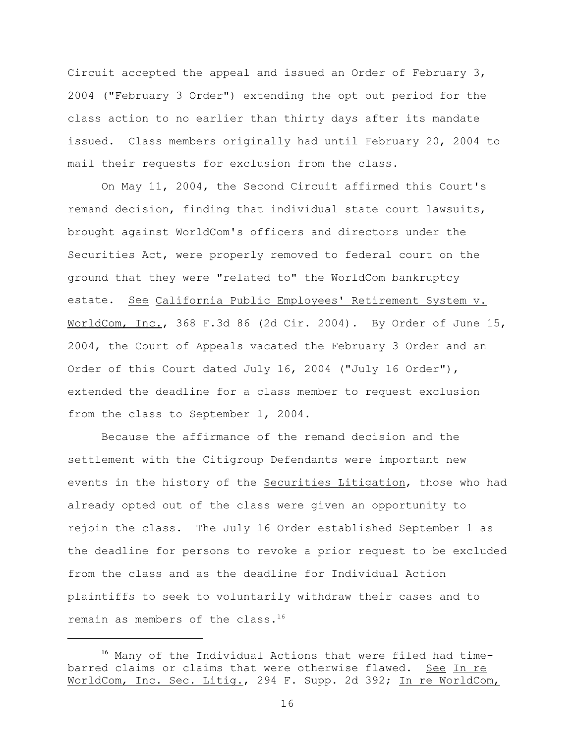Circuit accepted the appeal and issued an Order of February 3, 2004 ("February 3 Order") extending the opt out period for the class action to no earlier than thirty days after its mandate issued. Class members originally had until February 20, 2004 to mail their requests for exclusion from the class.

On May 11, 2004, the Second Circuit affirmed this Court's remand decision, finding that individual state court lawsuits, brought against WorldCom's officers and directors under the Securities Act, were properly removed to federal court on the ground that they were "related to" the WorldCom bankruptcy estate. See California Public Employees' Retirement System v. WorldCom, Inc., 368 F.3d 86 (2d Cir. 2004). By Order of June 15, 2004, the Court of Appeals vacated the February 3 Order and an Order of this Court dated July 16, 2004 ("July 16 Order"), extended the deadline for a class member to request exclusion from the class to September 1, 2004.

Because the affirmance of the remand decision and the settlement with the Citigroup Defendants were important new events in the history of the Securities Litigation, those who had already opted out of the class were given an opportunity to rejoin the class. The July 16 Order established September 1 as the deadline for persons to revoke a prior request to be excluded from the class and as the deadline for Individual Action plaintiffs to seek to voluntarily withdraw their cases and to remain as members of the class.<sup>16</sup>

<sup>16</sup> Many of the Individual Actions that were filed had timebarred claims or claims that were otherwise flawed. See In re WorldCom, Inc. Sec. Litig., 294 F. Supp. 2d 392; In re WorldCom,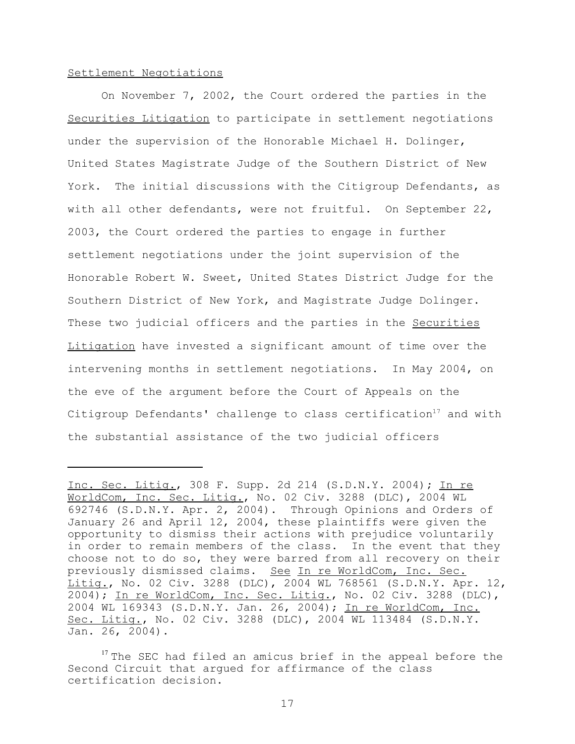## Settlement Negotiations

On November 7, 2002, the Court ordered the parties in the Securities Litigation to participate in settlement negotiations under the supervision of the Honorable Michael H. Dolinger, United States Magistrate Judge of the Southern District of New York. The initial discussions with the Citigroup Defendants, as with all other defendants, were not fruitful. On September 22, 2003, the Court ordered the parties to engage in further settlement negotiations under the joint supervision of the Honorable Robert W. Sweet, United States District Judge for the Southern District of New York, and Magistrate Judge Dolinger. These two judicial officers and the parties in the Securities Litigation have invested a significant amount of time over the intervening months in settlement negotiations. In May 2004, on the eve of the argument before the Court of Appeals on the Citigroup Defendants' challenge to class certification<sup>17</sup> and with the substantial assistance of the two judicial officers

Inc. Sec. Litig., 308 F. Supp. 2d 214 (S.D.N.Y. 2004)**;** In re WorldCom, Inc. Sec. Litig., No. 02 Civ. 3288 (DLC), 2004 WL 692746 (S.D.N.Y. Apr. 2, 2004).Through Opinions and Orders of January 26 and April 12, 2004, these plaintiffs were given the opportunity to dismiss their actions with prejudice voluntarily in order to remain members of the class. In the event that they choose not to do so, they were barred from all recovery on their previously dismissed claims.See In re WorldCom, Inc. Sec. Litig., No. 02 Civ. 3288 (DLC), 2004 WL 768561 (S.D.N.Y. Apr. 12, 2004); In re WorldCom, Inc. Sec. Litig., No. 02 Civ. 3288 (DLC), 2004 WL 169343 (S.D.N.Y. Jan. 26, 2004); In re WorldCom, Inc. Sec. Litig., No. 02 Civ. 3288 (DLC), 2004 WL 113484 (S.D.N.Y. Jan. 26, 2004).

<sup>&</sup>lt;sup>17</sup> The SEC had filed an amicus brief in the appeal before the Second Circuit that argued for affirmance of the class certification decision.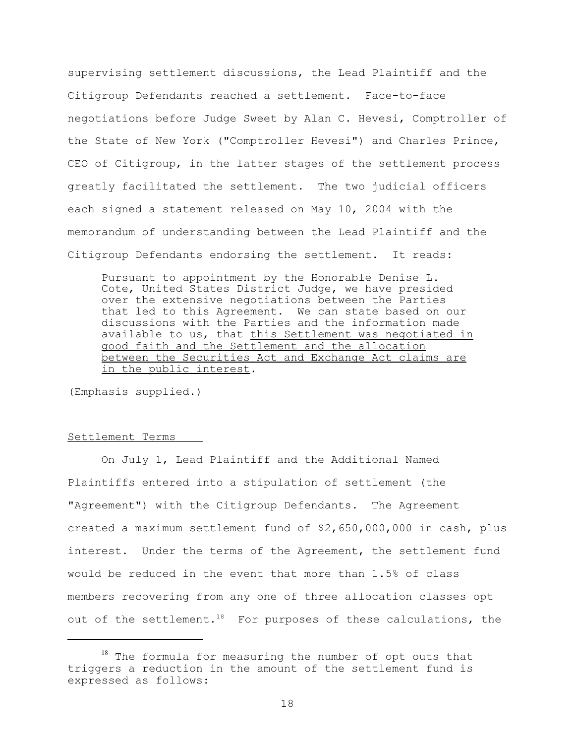supervising settlement discussions, the Lead Plaintiff and the Citigroup Defendants reached a settlement. Face-to-face negotiations before Judge Sweet by Alan C. Hevesi, Comptroller of the State of New York ("Comptroller Hevesi") and Charles Prince, CEO of Citigroup, in the latter stages of the settlement process greatly facilitated the settlement. The two judicial officers each signed a statement released on May 10, 2004 with the memorandum of understanding between the Lead Plaintiff and the Citigroup Defendants endorsing the settlement. It reads:

Pursuant to appointment by the Honorable Denise L. Cote, United States District Judge, we have presided over the extensive negotiations between the Parties that led to this Agreement. We can state based on our discussions with the Parties and the information made available to us, that this Settlement was negotiated in good faith and the Settlement and the allocation between the Securities Act and Exchange Act claims are in the public interest.

(Emphasis supplied.)

#### Settlement Terms

On July 1, Lead Plaintiff and the Additional Named Plaintiffs entered into a stipulation of settlement (the "Agreement") with the Citigroup Defendants. The Agreement created a maximum settlement fund of \$2,650,000,000 in cash, plus interest. Under the terms of the Agreement, the settlement fund would be reduced in the event that more than 1.5% of class members recovering from any one of three allocation classes opt out of the settlement.<sup>18</sup> For purposes of these calculations, the

 $18$  The formula for measuring the number of opt outs that triggers a reduction in the amount of the settlement fund is expressed as follows: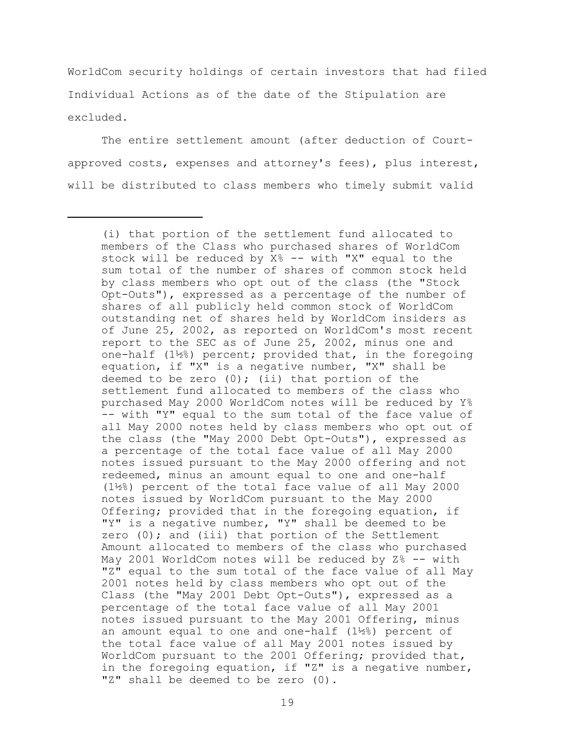WorldCom security holdings of certain investors that had filed Individual Actions as of the date of the Stipulation are excluded.

The entire settlement amount (after deduction of Courtapproved costs, expenses and attorney's fees), plus interest, will be distributed to class members who timely submit valid

<sup>(</sup>i) that portion of the settlement fund allocated to members of the Class who purchased shares of WorldCom stock will be reduced by X% -- with "X" equal to the sum total of the number of shares of common stock held by class members who opt out of the class (the "Stock Opt-Outs"), expressed as a percentage of the number of shares of all publicly held common stock of WorldCom outstanding net of shares held by WorldCom insiders as of June 25, 2002, as reported on WorldCom's most recent report to the SEC as of June 25, 2002, minus one and one-half (1½%) percent; provided that, in the foregoing equation, if "X" is a negative number, "X" shall be deemed to be zero  $(0)$ ; (ii) that portion of the settlement fund allocated to members of the class who purchased May 2000 WorldCom notes will be reduced by Y% -- with "Y" equal to the sum total of the face value of all May 2000 notes held by class members who opt out of the class (the "May 2000 Debt Opt-Outs"), expressed as a percentage of the total face value of all May 2000 notes issued pursuant to the May 2000 offering and not redeemed, minus an amount equal to one and one-half (1½%) percent of the total face value of all May 2000 notes issued by WorldCom pursuant to the May 2000 Offering; provided that in the foregoing equation, if "Y" is a negative number, "Y" shall be deemed to be zero  $(0)$ ; and (iii) that portion of the Settlement Amount allocated to members of the class who purchased May 2001 WorldCom notes will be reduced by Z% -- with "Z" equal to the sum total of the face value of all May 2001 notes held by class members who opt out of the Class (the "May 2001 Debt Opt-Outs"), expressed as a percentage of the total face value of all May 2001 notes issued pursuant to the May 2001 Offering, minus an amount equal to one and one-half (1½%) percent of the total face value of all May 2001 notes issued by WorldCom pursuant to the 2001 Offering; provided that, in the foregoing equation, if "Z" is a negative number, "Z" shall be deemed to be zero (0).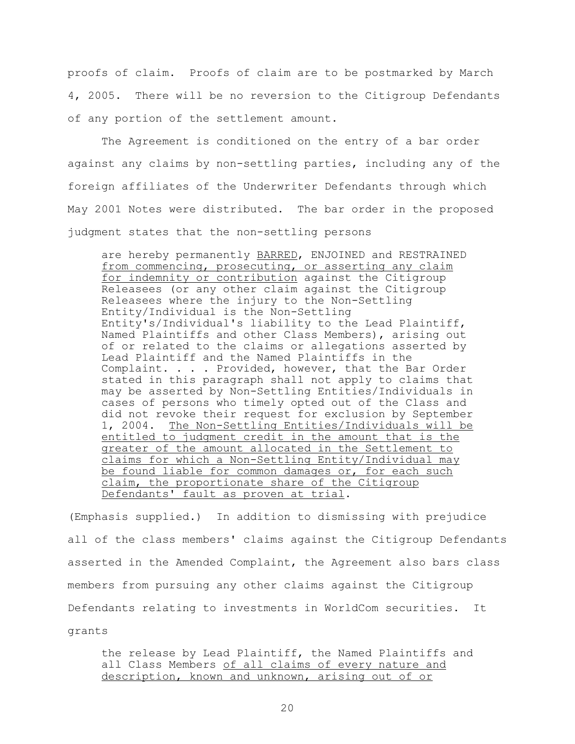proofs of claim. Proofs of claim are to be postmarked by March 4, 2005. There will be no reversion to the Citigroup Defendants of any portion of the settlement amount.

The Agreement is conditioned on the entry of a bar order against any claims by non-settling parties, including any of the foreign affiliates of the Underwriter Defendants through which May 2001 Notes were distributed. The bar order in the proposed judgment states that the non-settling persons

are hereby permanently BARRED, ENJOINED and RESTRAINED from commencing, prosecuting, or asserting any claim for indemnity or contribution against the Citigroup Releasees (or any other claim against the Citigroup Releasees where the injury to the Non-Settling Entity/Individual is the Non-Settling Entity's/Individual's liability to the Lead Plaintiff, Named Plaintiffs and other Class Members), arising out of or related to the claims or allegations asserted by Lead Plaintiff and the Named Plaintiffs in the Complaint. . . . Provided, however, that the Bar Order stated in this paragraph shall not apply to claims that may be asserted by Non-Settling Entities/Individuals in cases of persons who timely opted out of the Class and did not revoke their request for exclusion by September 1, 2004. The Non-Settling Entities/Individuals will be entitled to judgment credit in the amount that is the greater of the amount allocated in the Settlement to claims for which a Non-Settling Entity/Individual may be found liable for common damages or, for each such claim, the proportionate share of the Citigroup Defendants' fault as proven at trial.

(Emphasis supplied.) In addition to dismissing with prejudice all of the class members' claims against the Citigroup Defendants asserted in the Amended Complaint, the Agreement also bars class members from pursuing any other claims against the Citigroup Defendants relating to investments in WorldCom securities. It grants

the release by Lead Plaintiff, the Named Plaintiffs and all Class Members of all claims of every nature and description, known and unknown, arising out of or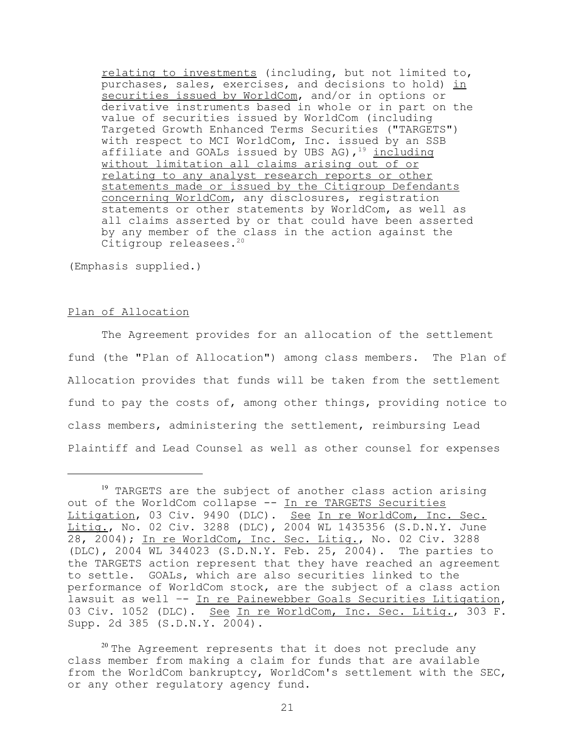relating to investments (including, but not limited to, purchases, sales, exercises, and decisions to hold) in securities issued by WorldCom, and/or in options or derivative instruments based in whole or in part on the value of securities issued by WorldCom (including Targeted Growth Enhanced Terms Securities ("TARGETS") with respect to MCI WorldCom, Inc. issued by an SSB affiliate and GOALs issued by UBS AG),  $19$  including without limitation all claims arising out of or relating to any analyst research reports or other statements made or issued by the Citigroup Defendants concerning WorldCom, any disclosures, registration statements or other statements by WorldCom, as well as all claims asserted by or that could have been asserted by any member of the class in the action against the Citigroup releasees.<sup>20</sup>

(Emphasis supplied.)

## Plan of Allocation

The Agreement provides for an allocation of the settlement fund (the "Plan of Allocation") among class members. The Plan of Allocation provides that funds will be taken from the settlement fund to pay the costs of, among other things, providing notice to class members, administering the settlement, reimbursing Lead Plaintiff and Lead Counsel as well as other counsel for expenses

<sup>&</sup>lt;sup>19</sup> TARGETS are the subject of another class action arising out of the WorldCom collapse -- In re TARGETS Securities Litigation, 03 Civ. 9490 (DLC). See In re WorldCom, Inc. Sec. Litig., No. 02 Civ. 3288 (DLC), 2004 WL 1435356 (S.D.N.Y. June 28, 2004); In re WorldCom, Inc. Sec. Litig., No. 02 Civ. 3288 (DLC), 2004 WL 344023 (S.D.N.Y. Feb. 25, 2004). The parties to the TARGETS action represent that they have reached an agreement to settle. GOALs, which are also securities linked to the performance of WorldCom stock, are the subject of a class action lawsuit as well –- In re Painewebber Goals Securities Litigation, 03 Civ. 1052 (DLC). See In re WorldCom, Inc. Sec. Litig., 303 F. Supp. 2d 385 (S.D.N.Y. 2004).

 $20$  The Agreement represents that it does not preclude any class member from making a claim for funds that are available from the WorldCom bankruptcy, WorldCom's settlement with the SEC, or any other regulatory agency fund.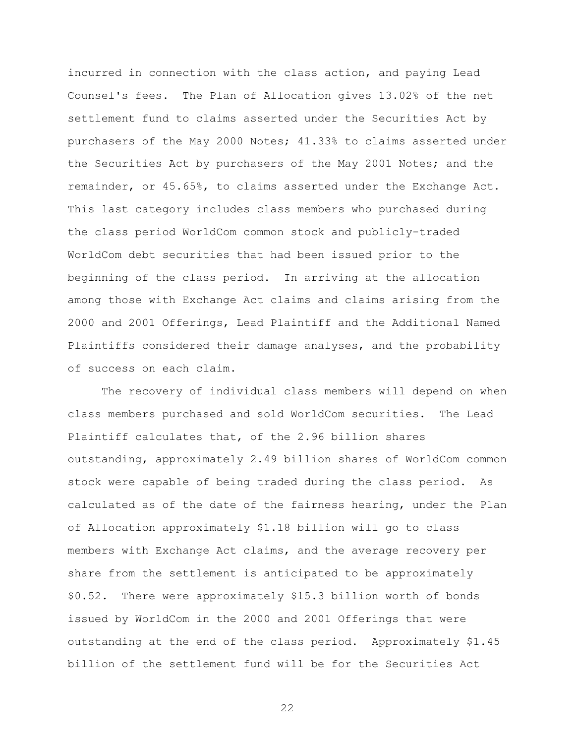incurred in connection with the class action, and paying Lead Counsel's fees. The Plan of Allocation gives 13.02% of the net settlement fund to claims asserted under the Securities Act by purchasers of the May 2000 Notes; 41.33% to claims asserted under the Securities Act by purchasers of the May 2001 Notes; and the remainder, or 45.65%, to claims asserted under the Exchange Act. This last category includes class members who purchased during the class period WorldCom common stock and publicly-traded WorldCom debt securities that had been issued prior to the beginning of the class period. In arriving at the allocation among those with Exchange Act claims and claims arising from the 2000 and 2001 Offerings, Lead Plaintiff and the Additional Named Plaintiffs considered their damage analyses, and the probability of success on each claim.

The recovery of individual class members will depend on when class members purchased and sold WorldCom securities. The Lead Plaintiff calculates that, of the 2.96 billion shares outstanding, approximately 2.49 billion shares of WorldCom common stock were capable of being traded during the class period. As calculated as of the date of the fairness hearing, under the Plan of Allocation approximately \$1.18 billion will go to class members with Exchange Act claims, and the average recovery per share from the settlement is anticipated to be approximately \$0.52. There were approximately \$15.3 billion worth of bonds issued by WorldCom in the 2000 and 2001 Offerings that were outstanding at the end of the class period. Approximately \$1.45 billion of the settlement fund will be for the Securities Act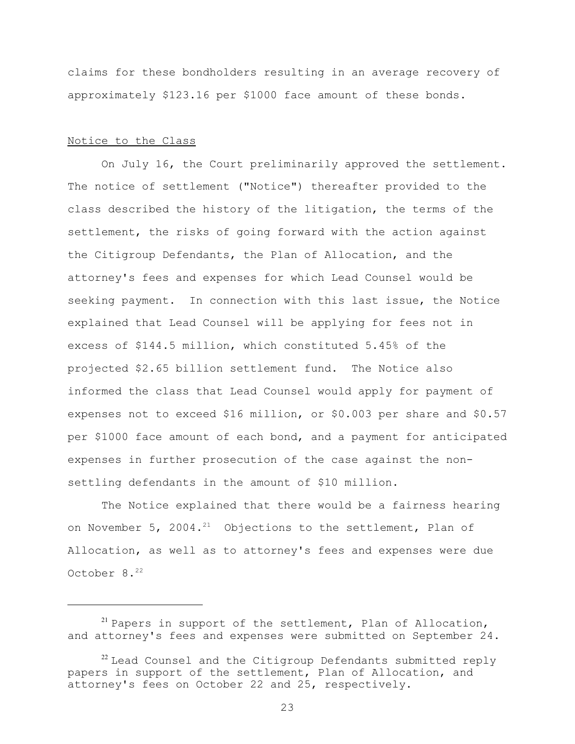claims for these bondholders resulting in an average recovery of approximately \$123.16 per \$1000 face amount of these bonds.

## Notice to the Class

On July 16, the Court preliminarily approved the settlement. The notice of settlement ("Notice") thereafter provided to the class described the history of the litigation, the terms of the settlement, the risks of going forward with the action against the Citigroup Defendants, the Plan of Allocation, and the attorney's fees and expenses for which Lead Counsel would be seeking payment. In connection with this last issue, the Notice explained that Lead Counsel will be applying for fees not in excess of \$144.5 million, which constituted 5.45% of the projected \$2.65 billion settlement fund. The Notice also informed the class that Lead Counsel would apply for payment of expenses not to exceed \$16 million, or \$0.003 per share and \$0.57 per \$1000 face amount of each bond, and a payment for anticipated expenses in further prosecution of the case against the nonsettling defendants in the amount of \$10 million.

The Notice explained that there would be a fairness hearing on November 5, 2004.<sup>21</sup> Objections to the settlement, Plan of Allocation, as well as to attorney's fees and expenses were due October 8.<sup>22</sup>

 $21$  Papers in support of the settlement, Plan of Allocation, and attorney's fees and expenses were submitted on September 24.

 $22$  Lead Counsel and the Citigroup Defendants submitted reply papers in support of the settlement, Plan of Allocation, and attorney's fees on October 22 and 25, respectively.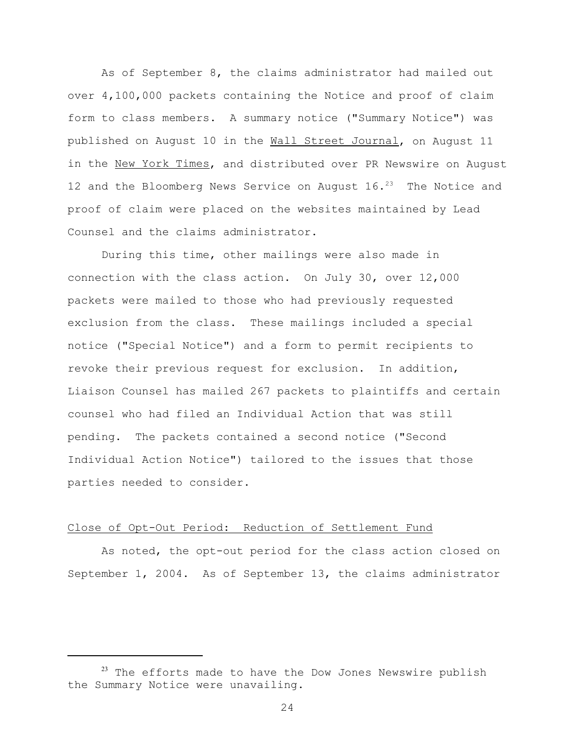As of September 8, the claims administrator had mailed out over 4,100,000 packets containing the Notice and proof of claim form to class members. A summary notice ("Summary Notice") was published on August 10 in the Wall Street Journal, on August 11 in the New York Times, and distributed over PR Newswire on August 12 and the Bloomberg News Service on August  $16.^{23}$  The Notice and proof of claim were placed on the websites maintained by Lead Counsel and the claims administrator.

During this time, other mailings were also made in connection with the class action. On July 30, over 12,000 packets were mailed to those who had previously requested exclusion from the class. These mailings included a special notice ("Special Notice") and a form to permit recipients to revoke their previous request for exclusion. In addition, Liaison Counsel has mailed 267 packets to plaintiffs and certain counsel who had filed an Individual Action that was still pending. The packets contained a second notice ("Second Individual Action Notice") tailored to the issues that those parties needed to consider.

### Close of Opt-Out Period: Reduction of Settlement Fund

As noted, the opt-out period for the class action closed on September 1, 2004. As of September 13, the claims administrator

 $23$  The efforts made to have the Dow Jones Newswire publish the Summary Notice were unavailing.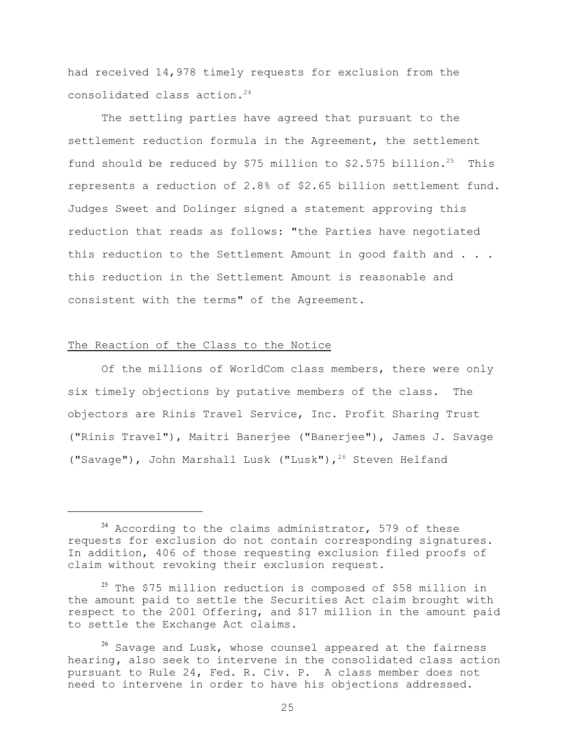had received 14,978 timely requests for exclusion from the consolidated class action. <sup>24</sup>

The settling parties have agreed that pursuant to the settlement reduction formula in the Agreement, the settlement fund should be reduced by \$75 million to \$2.575 billion.<sup>25</sup> This represents a reduction of 2.8% of \$2.65 billion settlement fund. Judges Sweet and Dolinger signed a statement approving this reduction that reads as follows: "the Parties have negotiated this reduction to the Settlement Amount in good faith and . . . this reduction in the Settlement Amount is reasonable and consistent with the terms" of the Agreement.

# The Reaction of the Class to the Notice

Of the millions of WorldCom class members, there were only six timely objections by putative members of the class. The objectors are Rinis Travel Service, Inc. Profit Sharing Trust ("Rinis Travel"), Maitri Banerjee ("Banerjee"), James J. Savage ("Savage"), John Marshall Lusk ("Lusk"),<sup>26</sup> Steven Helfand

 $24$  According to the claims administrator, 579 of these requests for exclusion do not contain corresponding signatures. In addition, 406 of those requesting exclusion filed proofs of claim without revoking their exclusion request.

<sup>&</sup>lt;sup>25</sup> The \$75 million reduction is composed of \$58 million in the amount paid to settle the Securities Act claim brought with respect to the 2001 Offering, and \$17 million in the amount paid to settle the Exchange Act claims.

<sup>&</sup>lt;sup>26</sup> Savage and Lusk, whose counsel appeared at the fairness hearing**,** also seek to intervene in the consolidated class action pursuant to Rule 24, Fed. R. Civ. P. A class member does not need to intervene in order to have his objections addressed.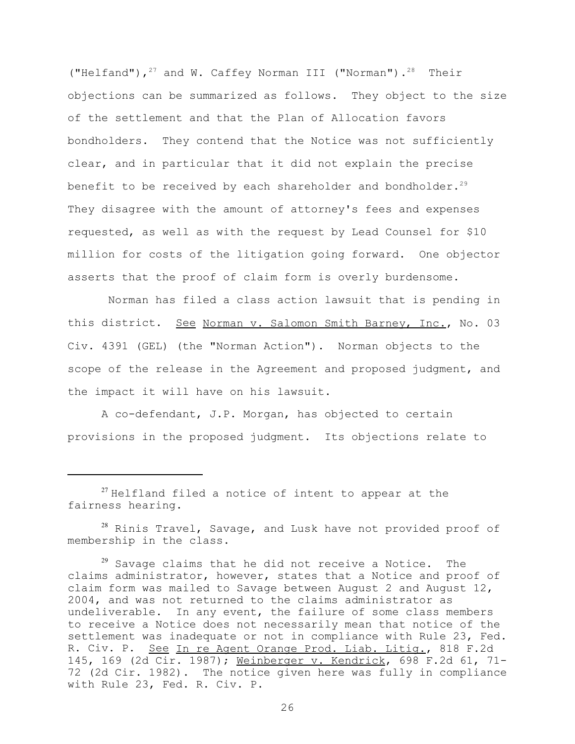("Helfand"), $27$  and W. Caffey Norman III ("Norman"). $28$  Their objections can be summarized as follows. They object to the size of the settlement and that the Plan of Allocation favors bondholders. They contend that the Notice was not sufficiently clear, and in particular that it did not explain the precise benefit to be received by each shareholder and bondholder.<sup>29</sup> They disagree with the amount of attorney's fees and expenses requested, as well as with the request by Lead Counsel for \$10 million for costs of the litigation going forward. One objector asserts that the proof of claim form is overly burdensome.

 Norman has filed a class action lawsuit that is pending in this district. See Norman v. Salomon Smith Barney, Inc., No. 03 Civ. 4391 (GEL) (the "Norman Action"). Norman objects to the scope of the release in the Agreement and proposed judgment, and the impact it will have on his lawsuit.

A co-defendant, J.P. Morgan, has objected to certain provisions in the proposed judgment. Its objections relate to

<sup>28</sup> Rinis Travel, Savage, and Lusk have not provided proof of membership in the class.

 $29$  Savage claims that he did not receive a Notice. The claims administrator, however, states that a Notice and proof of claim form was mailed to Savage between August 2 and August 12, 2004, and was not returned to the claims administrator as undeliverable. In any event, the failure of some class members to receive a Notice does not necessarily mean that notice of the settlement was inadequate or not in compliance with Rule 23, Fed. R. Civ. P. See In re Agent Orange Prod. Liab. Litig., 818 F.2d 145, 169 (2d Cir. 1987); Weinberger v. Kendrick, 698 F.2d 61, 71- 72 (2d Cir. 1982). The notice given here was fully in compliance with Rule 23, Fed. R. Civ. P.

 $27$  Helfland filed a notice of intent to appear at the fairness hearing.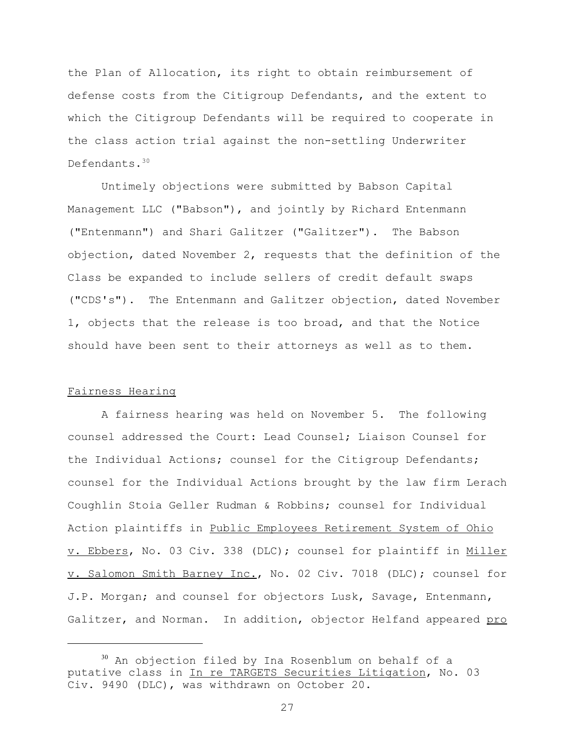the Plan of Allocation, its right to obtain reimbursement of defense costs from the Citigroup Defendants, and the extent to which the Citigroup Defendants will be required to cooperate in the class action trial against the non-settling Underwriter Defendants.<sup>30</sup>

Untimely objections were submitted by Babson Capital Management LLC ("Babson"), and jointly by Richard Entenmann ("Entenmann") and Shari Galitzer ("Galitzer"). The Babson objection, dated November 2, requests that the definition of the Class be expanded to include sellers of credit default swaps ("CDS's"). The Entenmann and Galitzer objection, dated November 1, objects that the release is too broad, and that the Notice should have been sent to their attorneys as well as to them.

### Fairness Hearing

A fairness hearing was held on November 5. The following counsel addressed the Court: Lead Counsel; Liaison Counsel for the Individual Actions; counsel for the Citigroup Defendants; counsel for the Individual Actions brought by the law firm Lerach Coughlin Stoia Geller Rudman & Robbins; counsel for Individual Action plaintiffs in Public Employees Retirement System of Ohio v. Ebbers, No. 03 Civ. 338 (DLC); counsel for plaintiff in Miller v. Salomon Smith Barney Inc., No. 02 Civ. 7018 (DLC); counsel for J.P. Morgan; and counsel for objectors Lusk, Savage, Entenmann, Galitzer, and Norman. In addition, objector Helfand appeared pro

<sup>&</sup>lt;sup>30</sup> An objection filed by Ina Rosenblum on behalf of a putative class in In re TARGETS Securities Litigation, No. 03 Civ. 9490 (DLC), was withdrawn on October 20.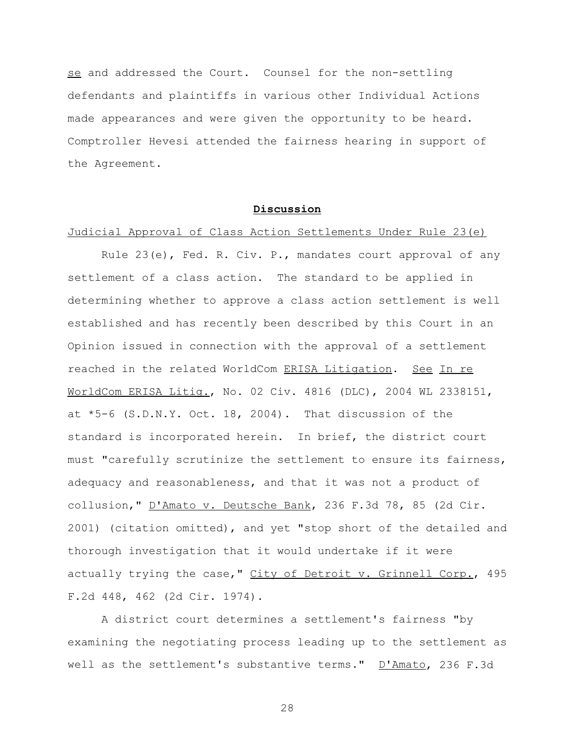se and addressed the Court. Counsel for the non-settling defendants and plaintiffs in various other Individual Actions made appearances and were given the opportunity to be heard. Comptroller Hevesi attended the fairness hearing in support of the Agreement.

## **Discussion**

# Judicial Approval of Class Action Settlements Under Rule 23(e)

Rule 23(e), Fed. R. Civ. P., mandates court approval of any settlement of a class action. The standard to be applied in determining whether to approve a class action settlement is well established and has recently been described by this Court in an Opinion issued in connection with the approval of a settlement reached in the related WorldCom ERISA Litigation. See In re WorldCom ERISA Litig., No. 02 Civ. 4816 (DLC), 2004 WL 2338151, at \*5-6 (S.D.N.Y. Oct. 18, 2004). That discussion of the standard is incorporated herein. In brief, the district court must "carefully scrutinize the settlement to ensure its fairness, adequacy and reasonableness, and that it was not a product of collusion," D'Amato v. Deutsche Bank, 236 F.3d 78, 85 (2d Cir. 2001) (citation omitted), and yet "stop short of the detailed and thorough investigation that it would undertake if it were actually trying the case," City of Detroit v. Grinnell Corp., 495 F.2d 448, 462 (2d Cir. 1974).

A district court determines a settlement's fairness "by examining the negotiating process leading up to the settlement as well as the settlement's substantive terms." D'Amato, 236 F.3d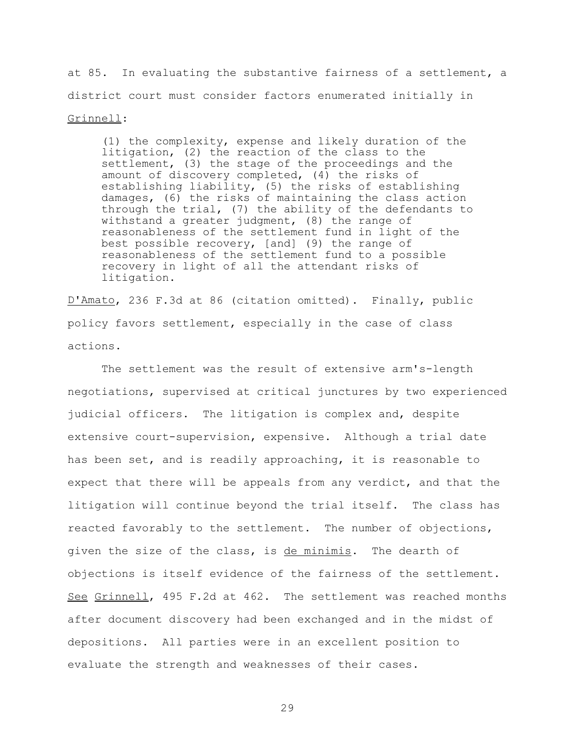at 85. In evaluating the substantive fairness of a settlement, a district court must consider factors enumerated initially in Grinnell:

(1) the complexity, expense and likely duration of the litigation, (2) the reaction of the class to the settlement, (3) the stage of the proceedings and the amount of discovery completed, (4) the risks of establishing liability, (5) the risks of establishing damages, (6) the risks of maintaining the class action through the trial, (7) the ability of the defendants to withstand a greater judgment, (8) the range of reasonableness of the settlement fund in light of the best possible recovery, [and] (9) the range of reasonableness of the settlement fund to a possible recovery in light of all the attendant risks of litigation.

D'Amato, 236 F.3d at 86 (citation omitted). Finally, public policy favors settlement, especially in the case of class actions.

The settlement was the result of extensive arm's-length negotiations, supervised at critical junctures by two experienced judicial officers. The litigation is complex and, despite extensive court-supervision, expensive. Although a trial date has been set, and is readily approaching, it is reasonable to expect that there will be appeals from any verdict, and that the litigation will continue beyond the trial itself. The class has reacted favorably to the settlement. The number of objections, given the size of the class, is de minimis. The dearth of objections is itself evidence of the fairness of the settlement. See Grinnell, 495 F.2d at 462. The settlement was reached months after document discovery had been exchanged and in the midst of depositions. All parties were in an excellent position to evaluate the strength and weaknesses of their cases.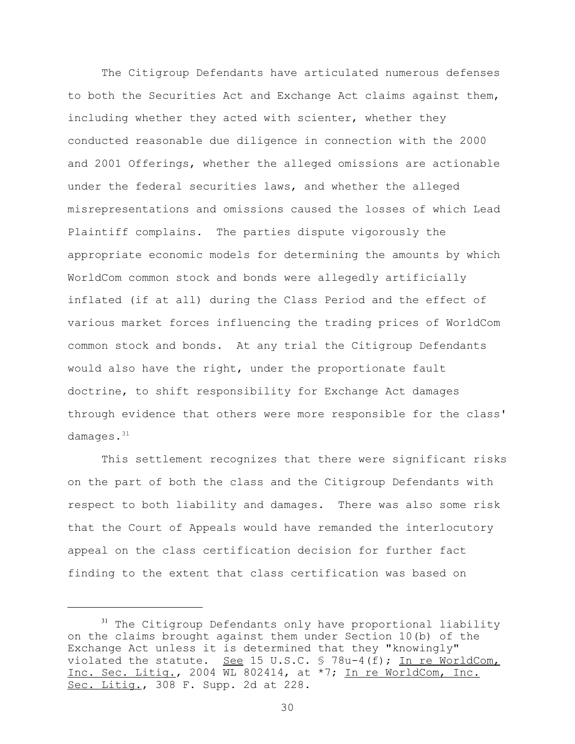The Citigroup Defendants have articulated numerous defenses to both the Securities Act and Exchange Act claims against them, including whether they acted with scienter, whether they conducted reasonable due diligence in connection with the 2000 and 2001 Offerings, whether the alleged omissions are actionable under the federal securities laws, and whether the alleged misrepresentations and omissions caused the losses of which Lead Plaintiff complains. The parties dispute vigorously the appropriate economic models for determining the amounts by which WorldCom common stock and bonds were allegedly artificially inflated (if at all) during the Class Period and the effect of various market forces influencing the trading prices of WorldCom common stock and bonds. At any trial the Citigroup Defendants would also have the right, under the proportionate fault doctrine, to shift responsibility for Exchange Act damages through evidence that others were more responsible for the class' damages.<sup>31</sup>

This settlement recognizes that there were significant risks on the part of both the class and the Citigroup Defendants with respect to both liability and damages. There was also some risk that the Court of Appeals would have remanded the interlocutory appeal on the class certification decision for further fact finding to the extent that class certification was based on

<sup>&</sup>lt;sup>31</sup> The Citigroup Defendants only have proportional liability on the claims brought against them under Section 10(b) of the Exchange Act unless it is determined that they "knowingly" violated the statute. See 15 U.S.C. § 78u-4(f); In re WorldCom, Inc. Sec. Litig., 2004 WL 802414, at \*7; In re WorldCom, Inc. Sec. Litig., 308 F. Supp. 2d at 228.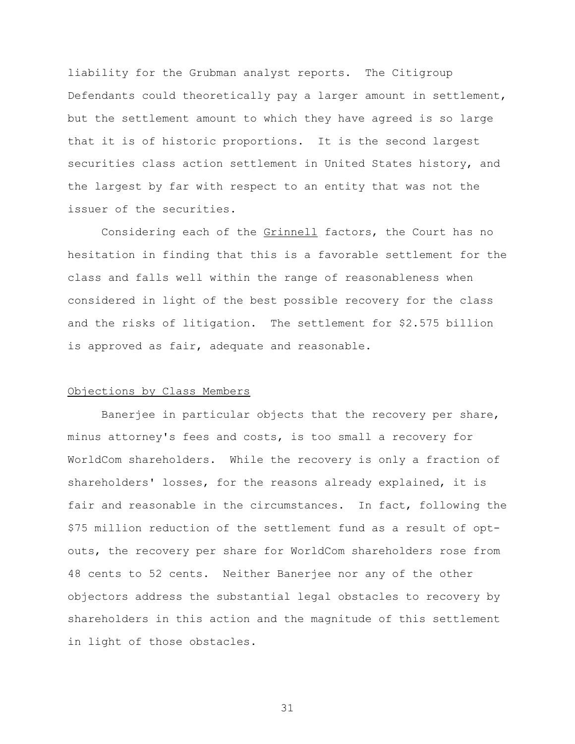liability for the Grubman analyst reports. The Citigroup Defendants could theoretically pay a larger amount in settlement, but the settlement amount to which they have agreed is so large that it is of historic proportions. It is the second largest securities class action settlement in United States history, and the largest by far with respect to an entity that was not the issuer of the securities.

Considering each of the Grinnell factors, the Court has no hesitation in finding that this is a favorable settlement for the class and falls well within the range of reasonableness when considered in light of the best possible recovery for the class and the risks of litigation.The settlement for \$2.575 billion is approved as fair, adequate and reasonable.

### Objections by Class Members

Banerjee in particular objects that the recovery per share, minus attorney's fees and costs, is too small a recovery for WorldCom shareholders. While the recovery is only a fraction of shareholders' losses, for the reasons already explained, it is fair and reasonable in the circumstances. In fact, following the \$75 million reduction of the settlement fund as a result of optouts, the recovery per share for WorldCom shareholders rose from 48 cents to 52 cents. Neither Banerjee nor any of the other objectors address the substantial legal obstacles to recovery by shareholders in this action and the magnitude of this settlement in light of those obstacles.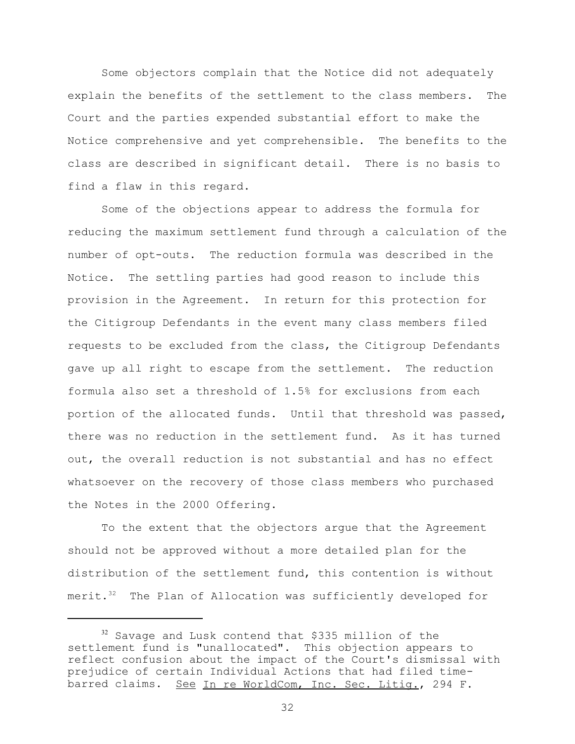Some objectors complain that the Notice did not adequately explain the benefits of the settlement to the class members. The Court and the parties expended substantial effort to make the Notice comprehensive and yet comprehensible. The benefits to the class are described in significant detail. There is no basis to find a flaw in this regard.

Some of the objections appear to address the formula for reducing the maximum settlement fund through a calculation of the number of opt-outs. The reduction formula was described in the Notice. The settling parties had good reason to include this provision in the Agreement. In return for this protection for the Citigroup Defendants in the event many class members filed requests to be excluded from the class, the Citigroup Defendants gave up all right to escape from the settlement. The reduction formula also set a threshold of 1.5% for exclusions from each portion of the allocated funds. Until that threshold was passed, there was no reduction in the settlement fund. As it has turned out, the overall reduction is not substantial and has no effect whatsoever on the recovery of those class members who purchased the Notes in the 2000 Offering.

To the extent that the objectors argue that the Agreement should not be approved without a more detailed plan for the distribution of the settlement fund, this contention is without merit.<sup>32</sup> The Plan of Allocation was sufficiently developed for

<sup>32</sup> Savage and Lusk contend that \$335 million of the settlement fund is "unallocated". This objection appears to reflect confusion about the impact of the Court's dismissal with prejudice of certain Individual Actions that had filed timebarred claims. See In re WorldCom, Inc. Sec. Litig., 294 F.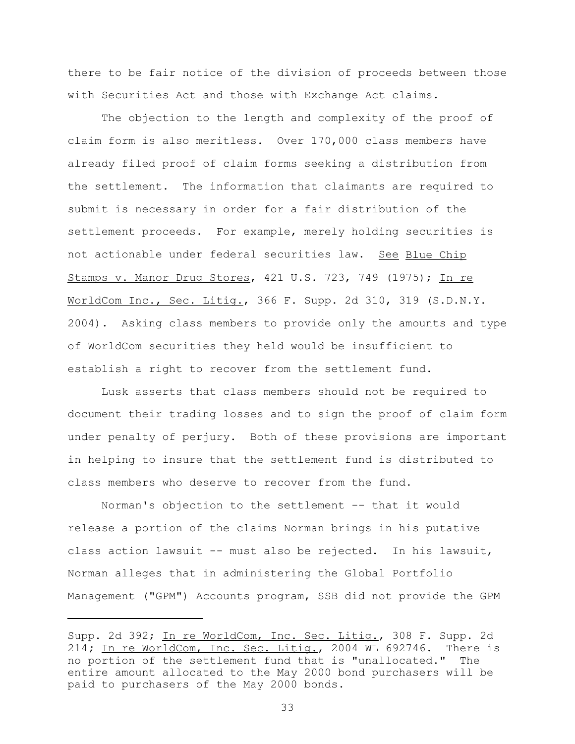there to be fair notice of the division of proceeds between those with Securities Act and those with Exchange Act claims.

The objection to the length and complexity of the proof of claim form is also meritless. Over 170,000 class members have already filed proof of claim forms seeking a distribution from the settlement. The information that claimants are required to submit is necessary in order for a fair distribution of the settlement proceeds. For example, merely holding securities is not actionable under federal securities law. See Blue Chip Stamps v. Manor Drug Stores, 421 U.S. 723, 749 (1975); In re WorldCom Inc., Sec. Litig., 366 F. Supp. 2d 310, 319 (S.D.N.Y. 2004). Asking class members to provide only the amounts and type of WorldCom securities they held would be insufficient to establish a right to recover from the settlement fund.

Lusk asserts that class members should not be required to document their trading losses and to sign the proof of claim form under penalty of perjury. Both of these provisions are important in helping to insure that the settlement fund is distributed to class members who deserve to recover from the fund.

Norman's objection to the settlement -- that it would release a portion of the claims Norman brings in his putative class action lawsuit -- must also be rejected. In his lawsuit, Norman alleges that in administering the Global Portfolio Management ("GPM") Accounts program, SSB did not provide the GPM

Supp. 2d 392; In re WorldCom, Inc. Sec. Litig., 308 F. Supp. 2d 214**;** In re WorldCom, Inc. Sec. Litig., 2004 WL 692746.There is no portion of the settlement fund that is "unallocated." The entire amount allocated to the May 2000 bond purchasers will be paid to purchasers of the May 2000 bonds.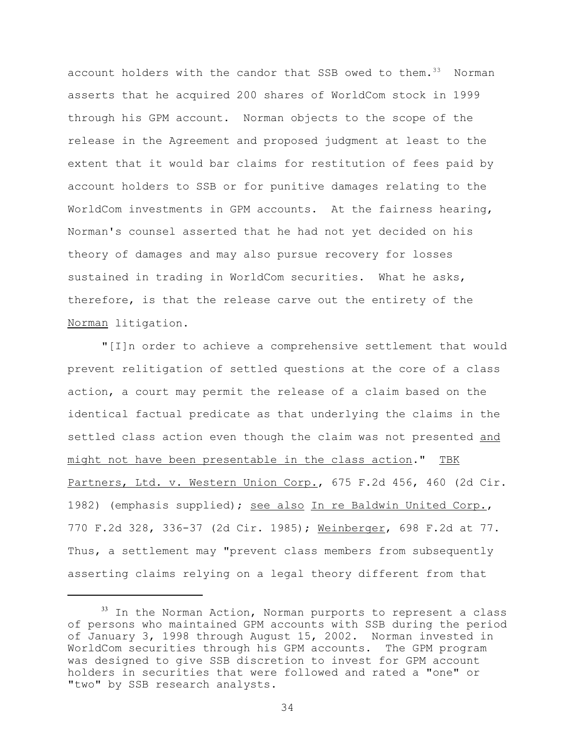account holders with the candor that SSB owed to them.<sup>33</sup> Norman asserts that he acquired 200 shares of WorldCom stock in 1999 through his GPM account. Norman objects to the scope of the release in the Agreement and proposed judgment at least to the extent that it would bar claims for restitution of fees paid by account holders to SSB or for punitive damages relating to the WorldCom investments in GPM accounts. At the fairness hearing, Norman's counsel asserted that he had not yet decided on his theory of damages and may also pursue recovery for losses sustained in trading in WorldCom securities. What he asks, therefore, is that the release carve out the entirety of the Norman litigation.

"[I]n order to achieve a comprehensive settlement that would prevent relitigation of settled questions at the core of a class action, a court may permit the release of a claim based on the identical factual predicate as that underlying the claims in the settled class action even though the claim was not presented and might not have been presentable in the class action." TBK Partners, Ltd. v. Western Union Corp., 675 F.2d 456, 460 (2d Cir. 1982) (emphasis supplied); see also In re Baldwin United Corp., 770 F.2d 328, 336-37 (2d Cir. 1985); Weinberger, 698 F.2d at 77. Thus, a settlement may "prevent class members from subsequently asserting claims relying on a legal theory different from that

<sup>&</sup>lt;sup>33</sup> In the Norman Action, Norman purports to represent a class of persons who maintained GPM accounts with SSB during the period of January 3, 1998 through August 15, 2002. Norman invested in WorldCom securities through his GPM accounts. The GPM program was designed to give SSB discretion to invest for GPM account holders in securities that were followed and rated a "one" or "two" by SSB research analysts.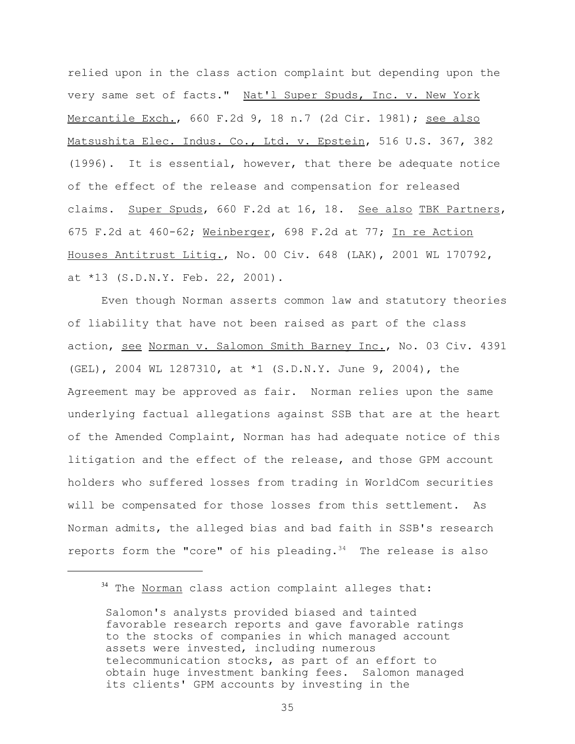relied upon in the class action complaint but depending upon the very same set of facts." Nat'l Super Spuds, Inc. v. New York Mercantile Exch., 660 F.2d 9, 18 n.7 (2d Cir. 1981); see also Matsushita Elec. Indus. Co., Ltd. v. Epstein, 516 U.S. 367, 382 (1996). It is essential, however, that there be adequate notice of the effect of the release and compensation for released claims. Super Spuds, 660 F.2d at 16, 18. See also TBK Partners, 675 F.2d at 460-62; Weinberger, 698 F.2d at 77; In re Action Houses Antitrust Litig., No. 00 Civ. 648 (LAK), 2001 WL 170792, at \*13 (S.D.N.Y. Feb. 22, 2001).

Even though Norman asserts common law and statutory theories of liability that have not been raised as part of the class action, see Norman v. Salomon Smith Barney Inc., No. 03 Civ. 4391 (GEL), 2004 WL 1287310, at \*1 (S.D.N.Y. June 9, 2004), the Agreement may be approved as fair. Norman relies upon the same underlying factual allegations against SSB that are at the heart of the Amended Complaint, Norman has had adequate notice of this litigation and the effect of the release, and those GPM account holders who suffered losses from trading in WorldCom securities will be compensated for those losses from this settlement. As Norman admits, the alleged bias and bad faith in SSB's research reports form the "core" of his pleading.<sup>34</sup> The release is also

<sup>&</sup>lt;sup>34</sup> The Norman class action complaint alleges that:

Salomon's analysts provided biased and tainted favorable research reports and gave favorable ratings to the stocks of companies in which managed account assets were invested, including numerous telecommunication stocks, as part of an effort to obtain huge investment banking fees. Salomon managed its clients' GPM accounts by investing in the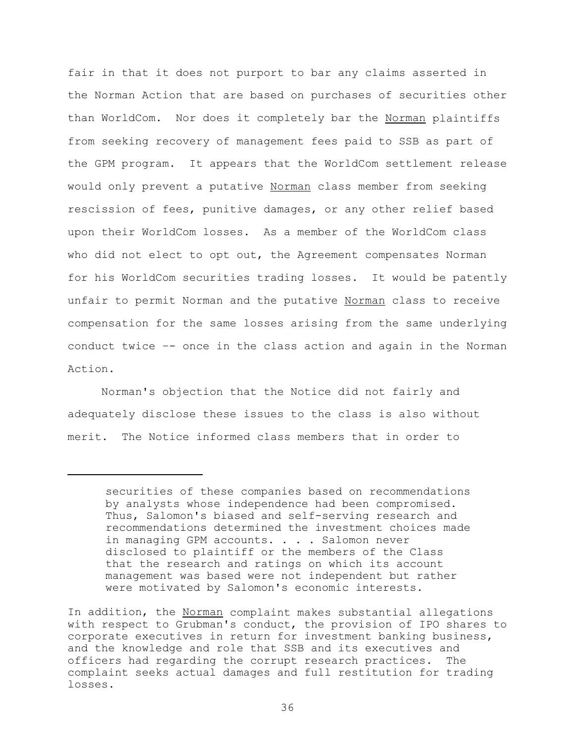fair in that it does not purport to bar any claims asserted in the Norman Action that are based on purchases of securities other than WorldCom. Nor does it completely bar the Norman plaintiffs from seeking recovery of management fees paid to SSB as part of the GPM program. It appears that the WorldCom settlement release would only prevent a putative Norman class member from seeking rescission of fees, punitive damages, or any other relief based upon their WorldCom losses. As a member of the WorldCom class who did not elect to opt out, the Agreement compensates Norman for his WorldCom securities trading losses. It would be patently unfair to permit Norman and the putative Norman class to receive compensation for the same losses arising from the same underlying conduct twice –- once in the class action and again in the Norman Action.

Norman's objection that the Notice did not fairly and adequately disclose these issues to the class is also without merit. The Notice informed class members that in order to

securities of these companies based on recommendations by analysts whose independence had been compromised. Thus, Salomon's biased and self-serving research and recommendations determined the investment choices made in managing GPM accounts. . . . Salomon never disclosed to plaintiff or the members of the Class that the research and ratings on which its account management was based were not independent but rather were motivated by Salomon's economic interests.

In addition, the Norman complaint makes substantial allegations with respect to Grubman's conduct, the provision of IPO shares to corporate executives in return for investment banking business, and the knowledge and role that SSB and its executives and officers had regarding the corrupt research practices. The complaint seeks actual damages and full restitution for trading losses.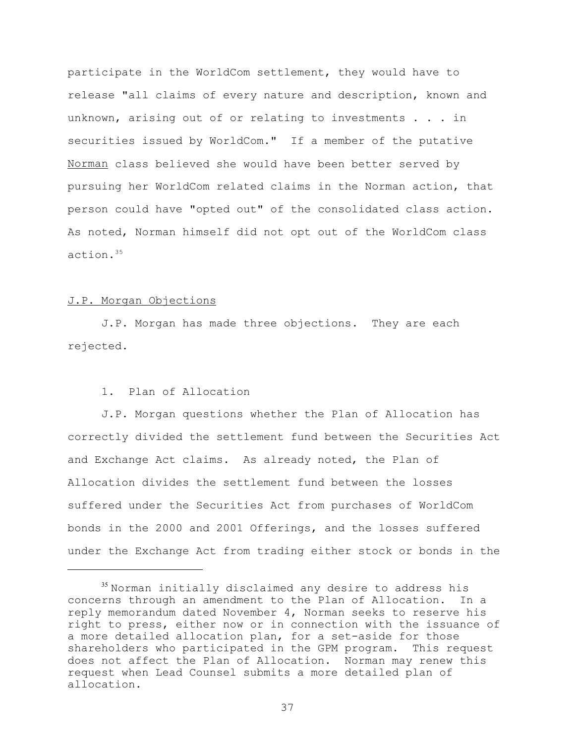participate in the WorldCom settlement, they would have to release "all claims of every nature and description, known and unknown, arising out of or relating to investments . . . in securities issued by WorldCom." If a member of the putative Norman class believed she would have been better served by pursuing her WorldCom related claims in the Norman action, that person could have "opted out" of the consolidated class action. As noted, Norman himself did not opt out of the WorldCom class action.<sup>35</sup>

## J.P. Morgan Objections

J.P. Morgan has made three objections. They are each rejected.

# 1. Plan of Allocation

J.P. Morgan questions whether the Plan of Allocation has correctly divided the settlement fund between the Securities Act and Exchange Act claims. As already noted, the Plan of Allocation divides the settlement fund between the losses suffered under the Securities Act from purchases of WorldCom bonds in the 2000 and 2001 Offerings, and the losses suffered under the Exchange Act from trading either stock or bonds in the

<sup>35</sup> Norman initially disclaimed any desire to address his concerns through an amendment to the Plan of Allocation. In a reply memorandum dated November 4, Norman seeks to reserve his right to press, either now or in connection with the issuance of a more detailed allocation plan, for a set-aside for those shareholders who participated in the GPM program. This request does not affect the Plan of Allocation. Norman may renew this request when Lead Counsel submits a more detailed plan of allocation.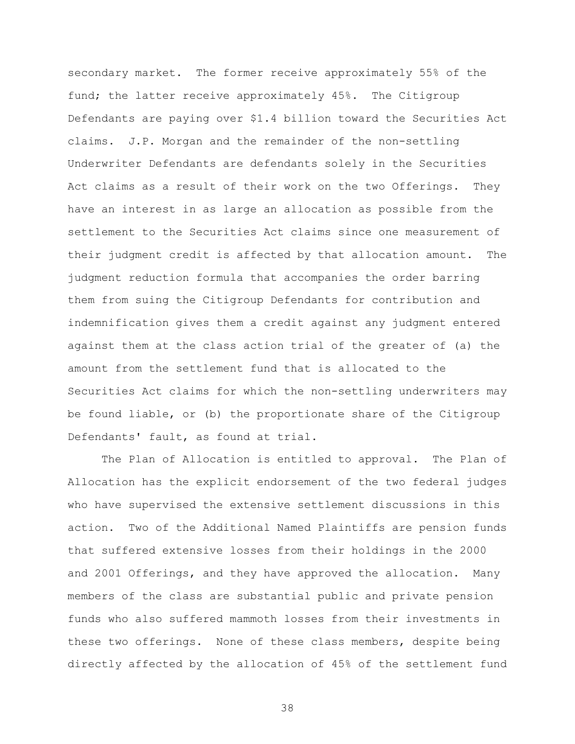secondary market. The former receive approximately 55% of the fund; the latter receive approximately 45%. The Citigroup Defendants are paying over \$1.4 billion toward the Securities Act claims. J.P. Morgan and the remainder of the non-settling Underwriter Defendants are defendants solely in the Securities Act claims as a result of their work on the two Offerings. They have an interest in as large an allocation as possible from the settlement to the Securities Act claims since one measurement of their judgment credit is affected by that allocation amount. The judgment reduction formula that accompanies the order barring them from suing the Citigroup Defendants for contribution and indemnification gives them a credit against any judgment entered against them at the class action trial of the greater of (a) the amount from the settlement fund that is allocated to the Securities Act claims for which the non-settling underwriters may be found liable, or (b) the proportionate share of the Citigroup Defendants' fault, as found at trial.

The Plan of Allocation is entitled to approval. The Plan of Allocation has the explicit endorsement of the two federal judges who have supervised the extensive settlement discussions in this action. Two of the Additional Named Plaintiffs are pension funds that suffered extensive losses from their holdings in the 2000 and 2001 Offerings, and they have approved the allocation. Many members of the class are substantial public and private pension funds who also suffered mammoth losses from their investments in these two offerings. None of these class members, despite being directly affected by the allocation of 45% of the settlement fund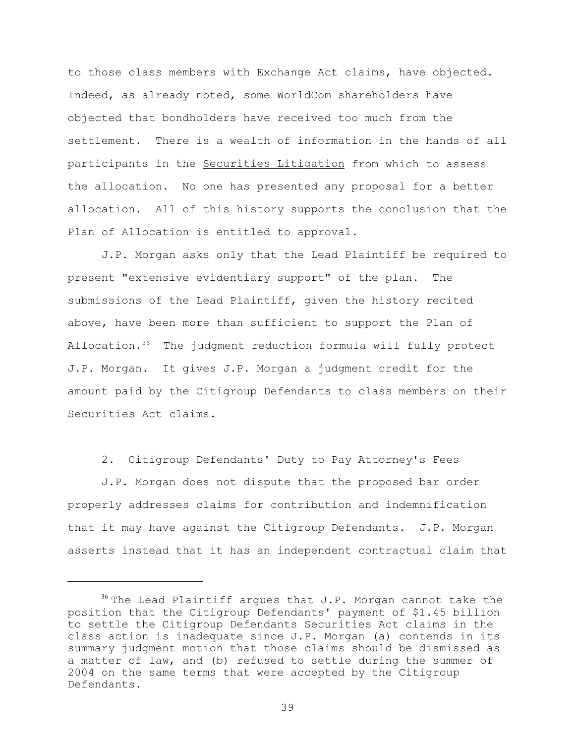to those class members with Exchange Act claims, have objected. Indeed, as already noted, some WorldCom shareholders have objected that bondholders have received too much from the settlement. There is a wealth of information in the hands of all participants in the Securities Litigation from which to assess the allocation. No one has presented any proposal for a better allocation. All of this history supports the conclusion that the Plan of Allocation is entitled to approval.

J.P. Morgan asks only that the Lead Plaintiff be required to present "extensive evidentiary support" of the plan. The submissions of the Lead Plaintiff, given the history recited above, have been more than sufficient to support the Plan of Allocation.<sup>36</sup> The judgment reduction formula will fully protect J.P. Morgan. It gives J.P. Morgan a judgment credit for the amount paid by the Citigroup Defendants to class members on their Securities Act claims.

2. Citigroup Defendants' Duty to Pay Attorney's Fees

J.P. Morgan does not dispute that the proposed bar order properly addresses claims for contribution and indemnification that it may have against the Citigroup Defendants. J.P. Morgan asserts instead that it has an independent contractual claim that

 $36$  The Lead Plaintiff argues that J.P. Morgan cannot take the position that the Citigroup Defendants' payment of \$1.45 billion to settle the Citigroup Defendants Securities Act claims in the class action is inadequate since J.P. Morgan (a) contends in its summary judgment motion that those claims should be dismissed as a matter of law, and (b) refused to settle during the summer of 2004 on the same terms that were accepted by the Citigroup Defendants.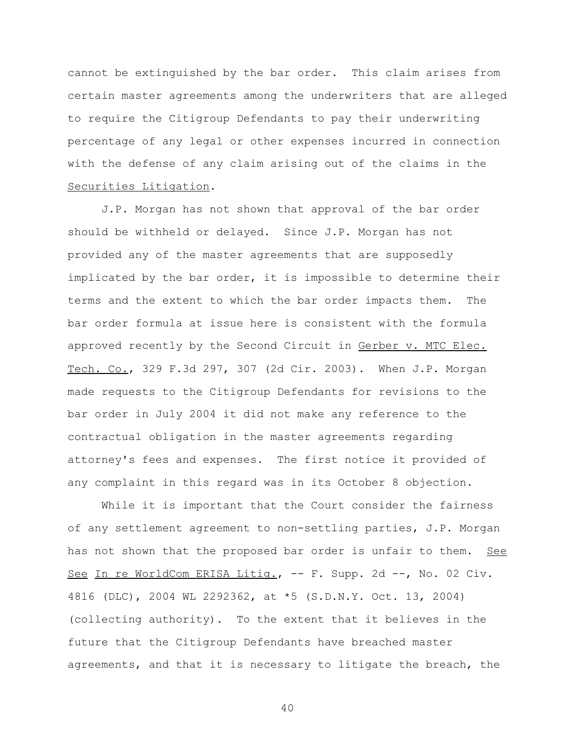cannot be extinguished by the bar order. This claim arises from certain master agreements among the underwriters that are alleged to require the Citigroup Defendants to pay their underwriting percentage of any legal or other expenses incurred in connection with the defense of any claim arising out of the claims in the Securities Litigation.

J.P. Morgan has not shown that approval of the bar order should be withheld or delayed. Since J.P. Morgan has not provided any of the master agreements that are supposedly implicated by the bar order, it is impossible to determine their terms and the extent to which the bar order impacts them. The bar order formula at issue here is consistent with the formula approved recently by the Second Circuit in Gerber v. MTC Elec. Tech. Co., 329 F.3d 297, 307 (2d Cir. 2003). When J.P. Morgan made requests to the Citigroup Defendants for revisions to the bar order in July 2004 it did not make any reference to the contractual obligation in the master agreements regarding attorney's fees and expenses. The first notice it provided of any complaint in this regard was in its October 8 objection.

While it is important that the Court consider the fairness of any settlement agreement to non-settling parties, J.P. Morgan has not shown that the proposed bar order is unfair to them. See See In re WorldCom ERISA Litig., -- F. Supp. 2d --, No. 02 Civ. 4816 (DLC), 2004 WL 2292362, at \*5 (S.D.N.Y. Oct. 13, 2004) (collecting authority). To the extent that it believes in the future that the Citigroup Defendants have breached master agreements, and that it is necessary to litigate the breach, the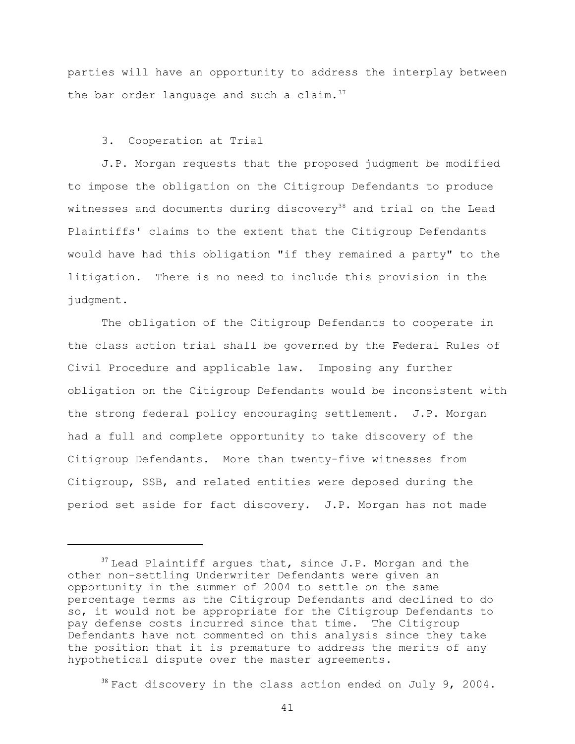parties will have an opportunity to address the interplay between the bar order language and such a claim. $37$ 

3. Cooperation at Trial

J.P. Morgan requests that the proposed judgment be modified to impose the obligation on the Citigroup Defendants to produce witnesses and documents during discovery<sup>38</sup> and trial on the Lead Plaintiffs' claims to the extent that the Citigroup Defendants would have had this obligation "if they remained a party" to the litigation. There is no need to include this provision in the judgment.

The obligation of the Citigroup Defendants to cooperate in the class action trial shall be governed by the Federal Rules of Civil Procedure and applicable law. Imposing any further obligation on the Citigroup Defendants would be inconsistent with the strong federal policy encouraging settlement. J.P. Morgan had a full and complete opportunity to take discovery of the Citigroup Defendants. More than twenty-five witnesses from Citigroup, SSB, and related entities were deposed during the period set aside for fact discovery. J.P. Morgan has not made

 $38$  Fact discovery in the class action ended on July 9, 2004.

 $37$  Lead Plaintiff argues that, since J.P. Morgan and the other non-settling Underwriter Defendants were given an opportunity in the summer of 2004 to settle on the same percentage terms as the Citigroup Defendants and declined to do so, it would not be appropriate for the Citigroup Defendants to pay defense costs incurred since that time. The Citigroup Defendants have not commented on this analysis since they take the position that it is premature to address the merits of any hypothetical dispute over the master agreements.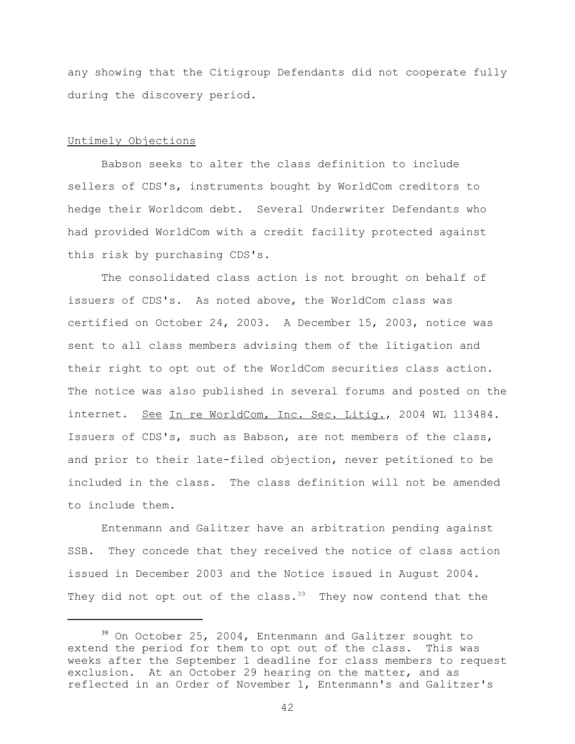any showing that the Citigroup Defendants did not cooperate fully during the discovery period.

## Untimely Objections

Babson seeks to alter the class definition to include sellers of CDS's, instruments bought by WorldCom creditors to hedge their Worldcom debt. Several Underwriter Defendants who had provided WorldCom with a credit facility protected against this risk by purchasing CDS's.

The consolidated class action is not brought on behalf of issuers of CDS's. As noted above, the WorldCom class was certified on October 24, 2003. A December 15, 2003, notice was sent to all class members advising them of the litigation and their right to opt out of the WorldCom securities class action. The notice was also published in several forums and posted on the internet. See In re WorldCom, Inc. Sec. Litig., 2004 WL 113484. Issuers of CDS's, such as Babson, are not members of the class, and prior to their late-filed objection, never petitioned to be included in the class. The class definition will not be amended to include them.

Entenmann and Galitzer have an arbitration pending against SSB. They concede that they received the notice of class action issued in December 2003 and the Notice issued in August 2004. They did not opt out of the class. $39$  They now contend that the

<sup>39</sup> On October 25, 2004, Entenmann and Galitzer sought to extend the period for them to opt out of the class. This was weeks after the September 1 deadline for class members to request exclusion. At an October 29 hearing on the matter, and as reflected in an Order of November 1, Entenmann's and Galitzer's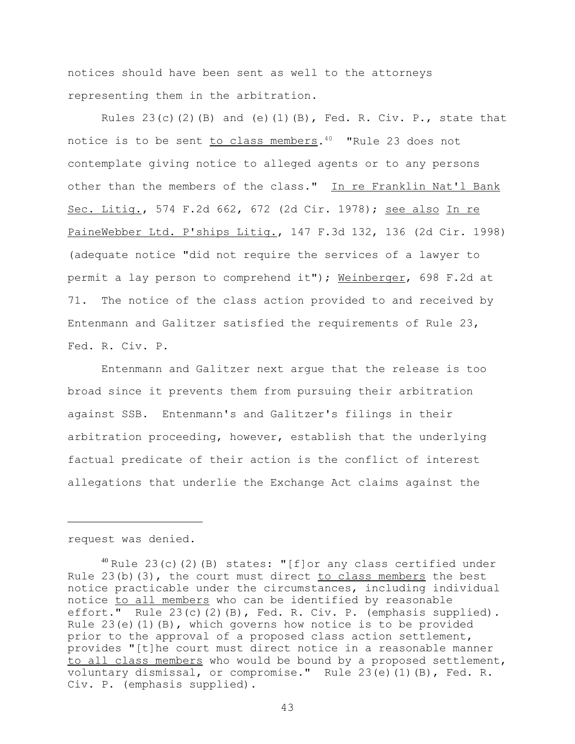notices should have been sent as well to the attorneys representing them in the arbitration.

Rules  $23(c)(2)(B)$  and  $(e)(1)(B)$ , Fed. R. Civ. P., state that notice is to be sent <u>to class members</u>.<sup>40</sup> "Rule 23 does not contemplate giving notice to alleged agents or to any persons other than the members of the class." In re Franklin Nat'l Bank Sec. Litig., 574 F.2d 662, 672 (2d Cir. 1978); see also In re PaineWebber Ltd. P'ships Litig., 147 F.3d 132, 136 (2d Cir. 1998) (adequate notice "did not require the services of a lawyer to permit a lay person to comprehend it"); Weinberger, 698 F.2d at 71. The notice of the class action provided to and received by Entenmann and Galitzer satisfied the requirements of Rule 23, Fed. R. Civ. P.

Entenmann and Galitzer next argue that the release is too broad since it prevents them from pursuing their arbitration against SSB. Entenmann's and Galitzer's filings in their arbitration proceeding, however, establish that the underlying factual predicate of their action is the conflict of interest allegations that underlie the Exchange Act claims against the

request was denied.

 $40$  Rule 23(c)(2)(B) states: "[f]or any class certified under Rule  $23(b)(3)$ , the court must direct to class members the best notice practicable under the circumstances, including individual notice to all members who can be identified by reasonable effort." Rule 23(c)(2)(B), Fed. R. Civ. P. (emphasis supplied). Rule  $23(e)(1)(B)$ , which governs how notice is to be provided prior to the approval of a proposed class action settlement, provides "[t]he court must direct notice in a reasonable manner to all class members who would be bound by a proposed settlement, voluntary dismissal, or compromise." Rule 23(e)(1)(B), Fed. R. Civ. P. (emphasis supplied).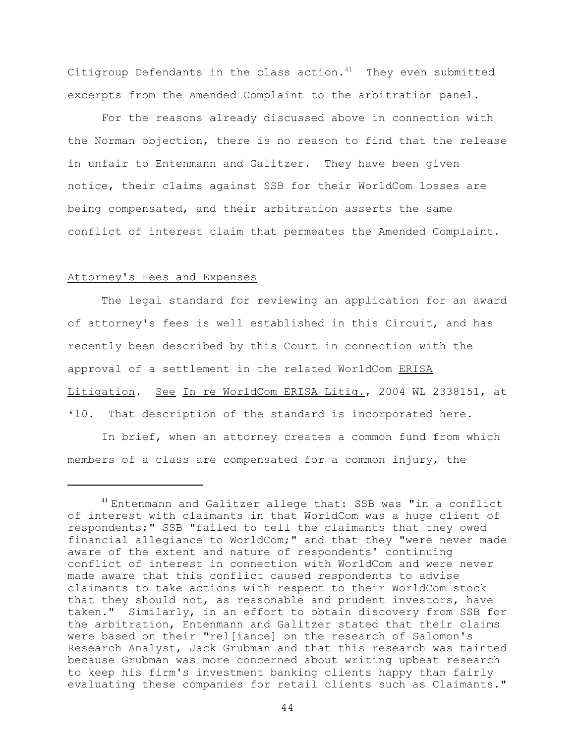Citigroup Defendants in the class action. $41$  They even submitted excerpts from the Amended Complaint to the arbitration panel.

 For the reasons already discussed above in connection with the Norman objection, there is no reason to find that the release in unfair to Entenmann and Galitzer. They have been given notice, their claims against SSB for their WorldCom losses are being compensated, and their arbitration asserts the same conflict of interest claim that permeates the Amended Complaint.

#### Attorney's Fees and Expenses

The legal standard for reviewing an application for an award of attorney's fees is well established in this Circuit, and has recently been described by this Court in connection with the approval of a settlement in the related WorldCom ERISA Litigation. See In re WorldCom ERISA Litig., 2004 WL 2338151, at \*10. That description of the standard is incorporated here.

In brief, when an attorney creates a common fund from which members of a class are compensated for a common injury, the

<sup>41</sup> Entenmann and Galitzer allege that: SSB was "in a conflict of interest with claimants in that WorldCom was a huge client of respondents;" SSB "failed to tell the claimants that they owed financial allegiance to WorldCom;" and that they "were never made aware of the extent and nature of respondents' continuing conflict of interest in connection with WorldCom and were never made aware that this conflict caused respondents to advise claimants to take actions with respect to their WorldCom stock that they should not, as reasonable and prudent investors, have taken." Similarly, in an effort to obtain discovery from SSB for the arbitration, Entenmann and Galitzer stated that their claims were based on their "rel[iance] on the research of Salomon's Research Analyst, Jack Grubman and that this research was tainted because Grubman was more concerned about writing upbeat research to keep his firm's investment banking clients happy than fairly evaluating these companies for retail clients such as Claimants."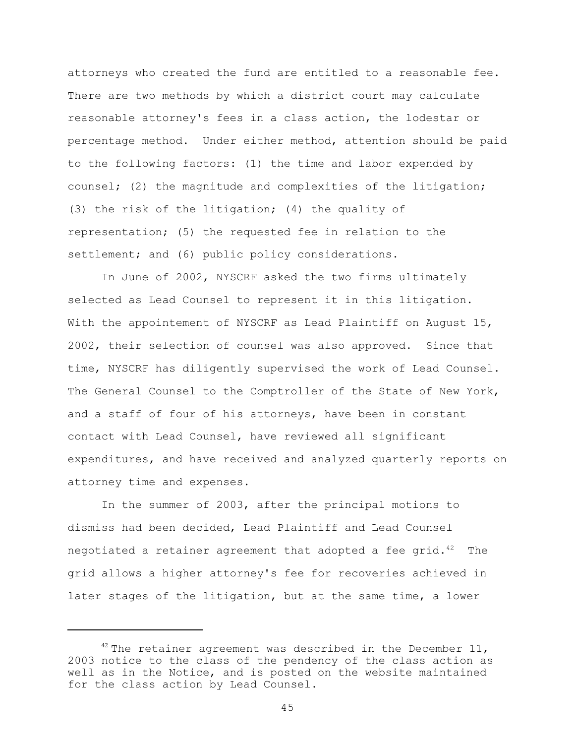attorneys who created the fund are entitled to a reasonable fee. There are two methods by which a district court may calculate reasonable attorney's fees in a class action, the lodestar or percentage method. Under either method, attention should be paid to the following factors: (1) the time and labor expended by counsel; (2) the magnitude and complexities of the litigation; (3) the risk of the litigation; (4) the quality of representation; (5) the requested fee in relation to the settlement; and (6) public policy considerations.

In June of 2002, NYSCRF asked the two firms ultimately selected as Lead Counsel to represent it in this litigation. With the appointement of NYSCRF as Lead Plaintiff on August 15, 2002, their selection of counsel was also approved. Since that time, NYSCRF has diligently supervised the work of Lead Counsel. The General Counsel to the Comptroller of the State of New York, and a staff of four of his attorneys, have been in constant contact with Lead Counsel, have reviewed all significant expenditures, and have received and analyzed quarterly reports on attorney time and expenses.

In the summer of 2003, after the principal motions to dismiss had been decided, Lead Plaintiff and Lead Counsel negotiated a retainer agreement that adopted a fee grid. $42$  The grid allows a higher attorney's fee for recoveries achieved in later stages of the litigation, but at the same time, a lower

 $42$  The retainer agreement was described in the December 11, 2003 notice to the class of the pendency of the class action as well as in the Notice, and is posted on the website maintained for the class action by Lead Counsel.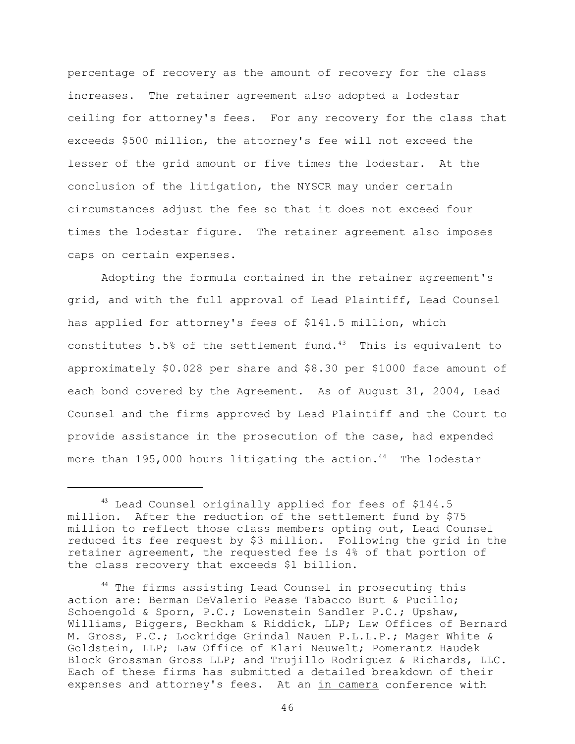percentage of recovery as the amount of recovery for the class increases. The retainer agreement also adopted a lodestar ceiling for attorney's fees. For any recovery for the class that exceeds \$500 million, the attorney's fee will not exceed the lesser of the grid amount or five times the lodestar. At the conclusion of the litigation, the NYSCR may under certain circumstances adjust the fee so that it does not exceed four times the lodestar figure. The retainer agreement also imposes caps on certain expenses.

Adopting the formula contained in the retainer agreement's grid, and with the full approval of Lead Plaintiff, Lead Counsel has applied for attorney's fees of \$141.5 million, which constitutes 5.5% of the settlement fund. $43$  This is equivalent to approximately \$0.028 per share and \$8.30 per \$1000 face amount of each bond covered by the Agreement. As of August 31, 2004, Lead Counsel and the firms approved by Lead Plaintiff and the Court to provide assistance in the prosecution of the case, had expended more than 195,000 hours litigating the action.<sup>44</sup> The lodestar

<sup>&</sup>lt;sup>43</sup> Lead Counsel originally applied for fees of \$144.5 million. After the reduction of the settlement fund by \$75 million to reflect those class members opting out, Lead Counsel reduced its fee request by \$3 million. Following the grid in the retainer agreement, the requested fee is 4% of that portion of the class recovery that exceeds \$1 billion.

<sup>44</sup> The firms assisting Lead Counsel in prosecuting this action are: Berman DeValerio Pease Tabacco Burt & Pucillo; Schoengold & Sporn, P.C.; Lowenstein Sandler P.C.; Upshaw, Williams, Biggers, Beckham & Riddick, LLP; Law Offices of Bernard M. Gross, P.C.; Lockridge Grindal Nauen P.L.L.P.; Mager White & Goldstein, LLP; Law Office of Klari Neuwelt; Pomerantz Haudek Block Grossman Gross LLP; and Trujillo Rodriguez & Richards, LLC. Each of these firms has submitted a detailed breakdown of their expenses and attorney's fees. At an in camera conference with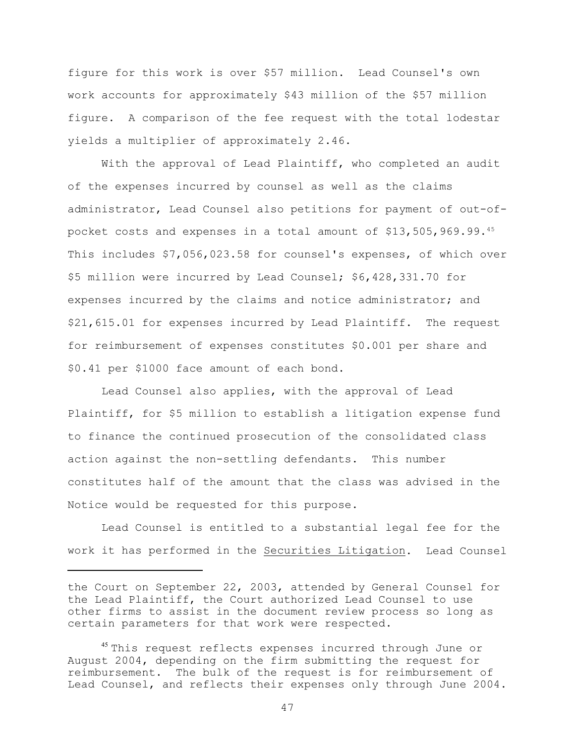figure for this work is over \$57 million. Lead Counsel's own work accounts for approximately \$43 million of the \$57 million figure. A comparison of the fee request with the total lodestar yields a multiplier of approximately 2.46**.**

With the approval of Lead Plaintiff, who completed an audit of the expenses incurred by counsel as well as the claims administrator, Lead Counsel also petitions for payment of out-ofpocket costs and expenses in a total amount of \$13,505,969.99.<sup>45</sup> This includes \$7,056,023.58 for counsel's expenses, of which over \$5 million were incurred by Lead Counsel; \$6,428,331.70 for expenses incurred by the claims and notice administrator; and \$21,615.01 for expenses incurred by Lead Plaintiff. The request for reimbursement of expenses constitutes \$0.001 per share and \$0.41 per \$1000 face amount of each bond.

Lead Counsel also applies, with the approval of Lead Plaintiff, for \$5 million to establish a litigation expense fund to finance the continued prosecution of the consolidated class action against the non-settling defendants. This number constitutes half of the amount that the class was advised in the Notice would be requested for this purpose.

Lead Counsel is entitled to a substantial legal fee for the work it has performed in the Securities Litigation. Lead Counsel

the Court on September 22, 2003, attended by General Counsel for the Lead Plaintiff, the Court authorized Lead Counsel to use other firms to assist in the document review process so long as certain parameters for that work were respected.

<sup>&</sup>lt;sup>45</sup> This request reflects expenses incurred through June or August 2004, depending on the firm submitting the request for reimbursement. The bulk of the request is for reimbursement of Lead Counsel, and reflects their expenses only through June 2004.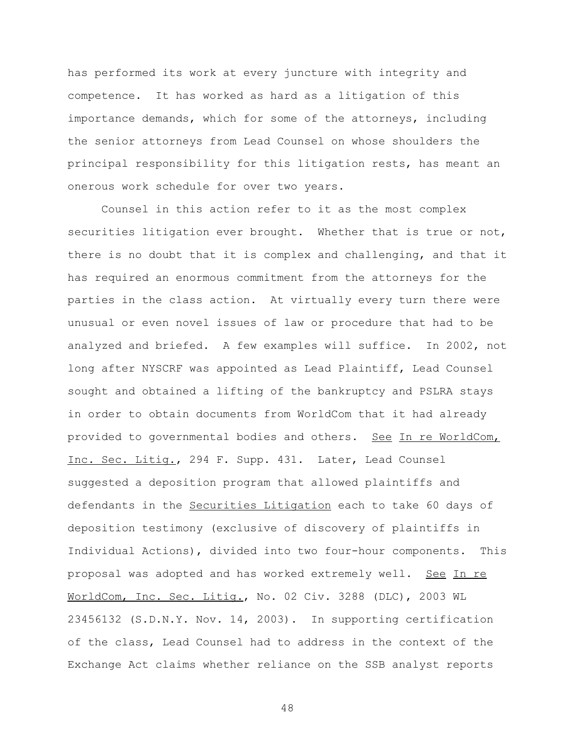has performed its work at every juncture with integrity and competence.It has worked as hard as a litigation of this importance demands, which for some of the attorneys, including the senior attorneys from Lead Counsel on whose shoulders the principal responsibility for this litigation rests, has meant an onerous work schedule for over two years.

Counsel in this action refer to it as the most complex securities litigation ever brought. Whether that is true or not, there is no doubt that it is complex and challenging, and that it has required an enormous commitment from the attorneys for the parties in the class action. At virtually every turn there were unusual or even novel issues of law or procedure that had to be analyzed and briefed. A few examples will suffice. In 2002, not long after NYSCRF was appointed as Lead Plaintiff, Lead Counsel sought and obtained a lifting of the bankruptcy and PSLRA stays in order to obtain documents from WorldCom that it had already provided to governmental bodies and others. See In re WorldCom, Inc. Sec. Litig., 294 F. Supp. 431. Later, Lead Counsel suggested a deposition program that allowed plaintiffs and defendants in the Securities Litigation each to take 60 days of deposition testimony (exclusive of discovery of plaintiffs in Individual Actions), divided into two four-hour components. This proposal was adopted and has worked extremely well. See In re WorldCom, Inc. Sec. Litig., No. 02 Civ. 3288 (DLC), 2003 WL 23456132 (S.D.N.Y. Nov. 14, 2003). In supporting certification of the class, Lead Counsel had to address in the context of the Exchange Act claims whether reliance on the SSB analyst reports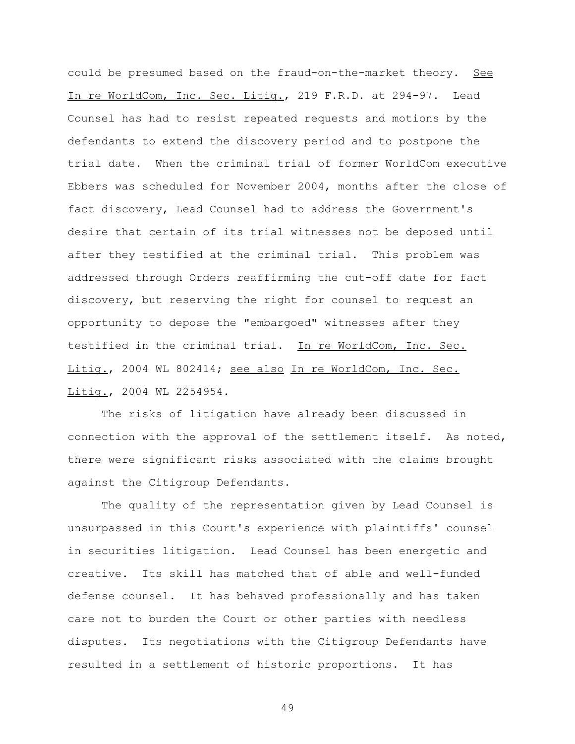could be presumed based on the fraud-on-the-market theory. See In re WorldCom, Inc. Sec. Litig., 219 F.R.D. at 294-97. Lead Counsel has had to resist repeated requests and motions by the defendants to extend the discovery period and to postpone the trial date. When the criminal trial of former WorldCom executive Ebbers was scheduled for November 2004, months after the close of fact discovery, Lead Counsel had to address the Government's desire that certain of its trial witnesses not be deposed until after they testified at the criminal trial. This problem was addressed through Orders reaffirming the cut-off date for fact discovery, but reserving the right for counsel to request an opportunity to depose the "embargoed" witnesses after they testified in the criminal trial. In re WorldCom, Inc. Sec. Litig., 2004 WL 802414; see also In re WorldCom, Inc. Sec. Litig., 2004 WL 2254954.

The risks of litigation have already been discussed in connection with the approval of the settlement itself. As noted, there were significant risks associated with the claims brought against the Citigroup Defendants.

The quality of the representation given by Lead Counsel is unsurpassed in this Court's experience with plaintiffs' counsel in securities litigation. Lead Counsel has been energetic and creative. Its skill has matched that of able and well-funded defense counsel. It has behaved professionally and has taken care not to burden the Court or other parties with needless disputes. Its negotiations with the Citigroup Defendants have resulted in a settlement of historic proportions. It has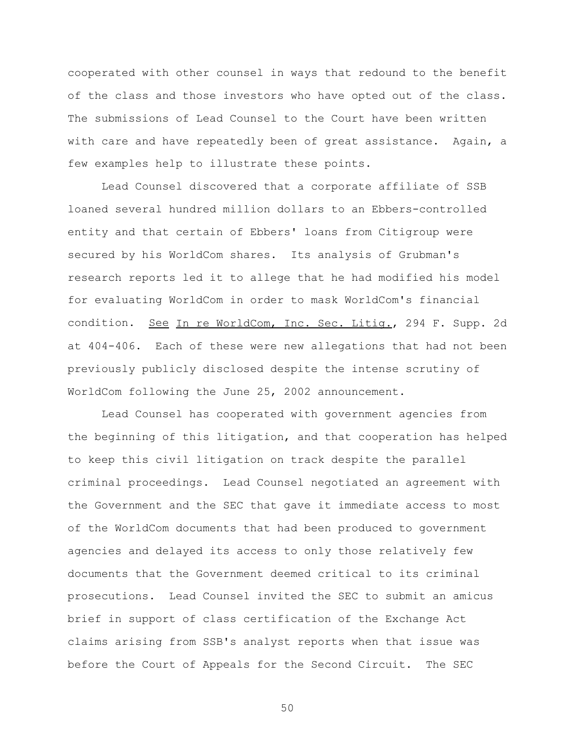cooperated with other counsel in ways that redound to the benefit of the class and those investors who have opted out of the class. The submissions of Lead Counsel to the Court have been written with care and have repeatedly been of great assistance. Again, a few examples help to illustrate these points.

Lead Counsel discovered that a corporate affiliate of SSB loaned several hundred million dollars to an Ebbers-controlled entity and that certain of Ebbers' loans from Citigroup were secured by his WorldCom shares. Its analysis of Grubman's research reports led it to allege that he had modified his model for evaluating WorldCom in order to mask WorldCom's financial condition. See In re WorldCom, Inc. Sec. Litig., 294 F. Supp. 2d at 404-406. Each of these were new allegations that had not been previously publicly disclosed despite the intense scrutiny of WorldCom following the June 25, 2002 announcement.

Lead Counsel has cooperated with government agencies from the beginning of this litigation, and that cooperation has helped to keep this civil litigation on track despite the parallel criminal proceedings. Lead Counsel negotiated an agreement with the Government and the SEC that gave it immediate access to most of the WorldCom documents that had been produced to government agencies and delayed its access to only those relatively few documents that the Government deemed critical to its criminal prosecutions. Lead Counsel invited the SEC to submit an amicus brief in support of class certification of the Exchange Act claims arising from SSB's analyst reports when that issue was before the Court of Appeals for the Second Circuit. The SEC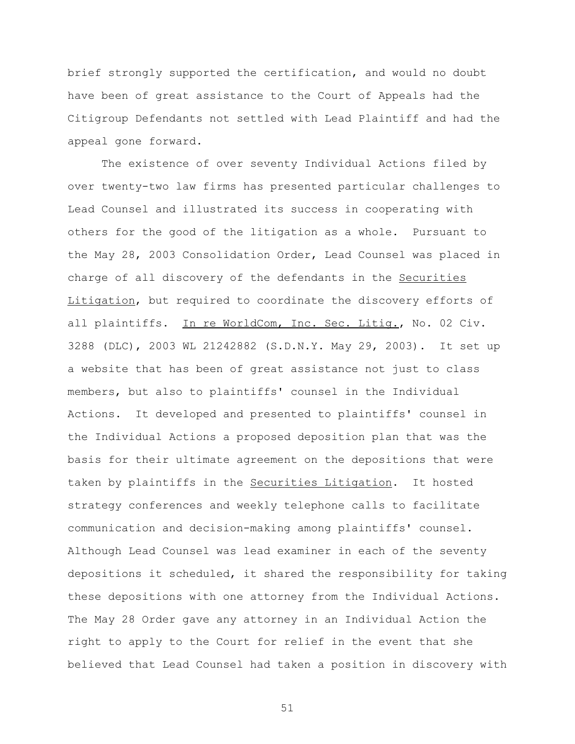brief strongly supported the certification, and would no doubt have been of great assistance to the Court of Appeals had the Citigroup Defendants not settled with Lead Plaintiff and had the appeal gone forward.

The existence of over seventy Individual Actions filed by over twenty-two law firms has presented particular challenges to Lead Counsel and illustrated its success in cooperating with others for the good of the litigation as a whole. Pursuant to the May 28, 2003 Consolidation Order, Lead Counsel was placed in charge of all discovery of the defendants in the Securities Litigation, but required to coordinate the discovery efforts of all plaintiffs. In re WorldCom, Inc. Sec. Litig., No. 02 Civ. 3288 (DLC), 2003 WL 21242882 (S.D.N.Y. May 29, 2003). It set up a website that has been of great assistance not just to class members, but also to plaintiffs' counsel in the Individual Actions. It developed and presented to plaintiffs' counsel in the Individual Actions a proposed deposition plan that was the basis for their ultimate agreement on the depositions that were taken by plaintiffs in the Securities Litigation. It hosted strategy conferences and weekly telephone calls to facilitate communication and decision-making among plaintiffs' counsel. Although Lead Counsel was lead examiner in each of the seventy depositions it scheduled, it shared the responsibility for taking these depositions with one attorney from the Individual Actions. The May 28 Order gave any attorney in an Individual Action the right to apply to the Court for relief in the event that she believed that Lead Counsel had taken a position in discovery with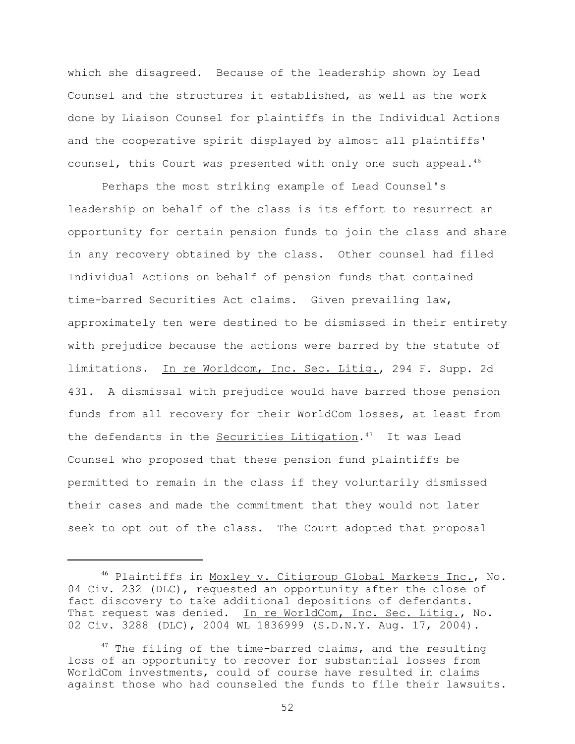which she disagreed. Because of the leadership shown by Lead Counsel and the structures it established, as well as the work done by Liaison Counsel for plaintiffs in the Individual Actions and the cooperative spirit displayed by almost all plaintiffs' counsel, this Court was presented with only one such appeal.<sup>46</sup>

 Perhaps the most striking example of Lead Counsel's leadership on behalf of the class is its effort to resurrect an opportunity for certain pension funds to join the class and share in any recovery obtained by the class. Other counsel had filed Individual Actions on behalf of pension funds that contained time-barred Securities Act claims. Given prevailing law, approximately ten were destined to be dismissed in their entirety with prejudice because the actions were barred by the statute of limitations. In re Worldcom, Inc. Sec. Litig., 294 F. Supp. 2d 431. A dismissal with prejudice would have barred those pension funds from all recovery for their WorldCom losses, at least from the defendants in the Securities Litigation.<sup>47</sup> It was Lead Counsel who proposed that these pension fund plaintiffs be permitted to remain in the class if they voluntarily dismissed their cases and made the commitment that they would not later seek to opt out of the class. The Court adopted that proposal

 $^{46}$  Plaintiffs in Moxley v. Citigroup Global Markets Inc., No. 04 Civ. 232 (DLC), requested an opportunity after the close of fact discovery to take additional depositions of defendants. That request was denied. In re WorldCom, Inc. Sec. Litig., No. 02 Civ. 3288 (DLC), 2004 WL 1836999 (S.D.N.Y. Aug. 17, 2004).

 $47$  The filing of the time-barred claims, and the resulting loss of an opportunity to recover for substantial losses from WorldCom investments, could of course have resulted in claims against those who had counseled the funds to file their lawsuits.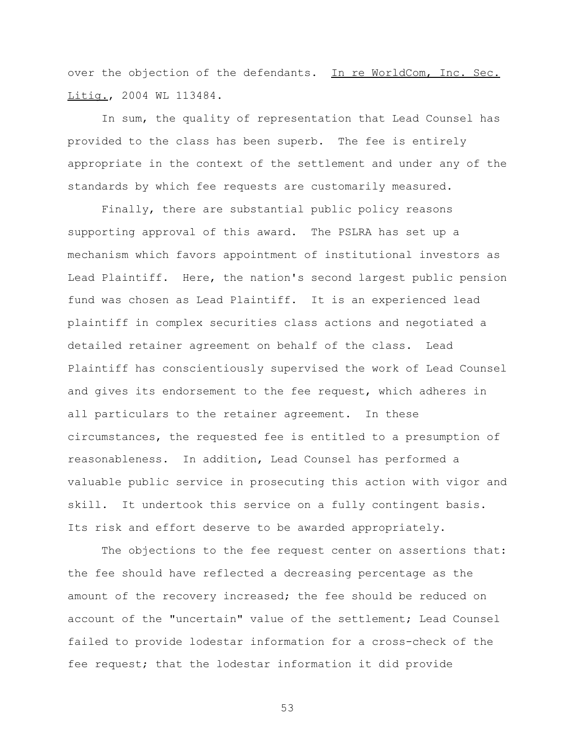over the objection of the defendants. In re WorldCom, Inc. Sec. Litig., 2004 WL 113484.

In sum, the quality of representation that Lead Counsel has provided to the class has been superb. The fee is entirely appropriate in the context of the settlement and under any of the standards by which fee requests are customarily measured.

Finally, there are substantial public policy reasons supporting approval of this award. The PSLRA has set up a mechanism which favors appointment of institutional investors as Lead Plaintiff. Here, the nation's second largest public pension fund was chosen as Lead Plaintiff. It is an experienced lead plaintiff in complex securities class actions and negotiated a detailed retainer agreement on behalf of the class. Lead Plaintiff has conscientiously supervised the work of Lead Counsel and gives its endorsement to the fee request, which adheres in all particulars to the retainer agreement. In these circumstances, the requested fee is entitled to a presumption of reasonableness. In addition, Lead Counsel has performed a valuable public service in prosecuting this action with vigor and skill. It undertook this service on a fully contingent basis. Its risk and effort deserve to be awarded appropriately.

The objections to the fee request center on assertions that: the fee should have reflected a decreasing percentage as the amount of the recovery increased; the fee should be reduced on account of the "uncertain" value of the settlement; Lead Counsel failed to provide lodestar information for a cross-check of the fee request; that the lodestar information it did provide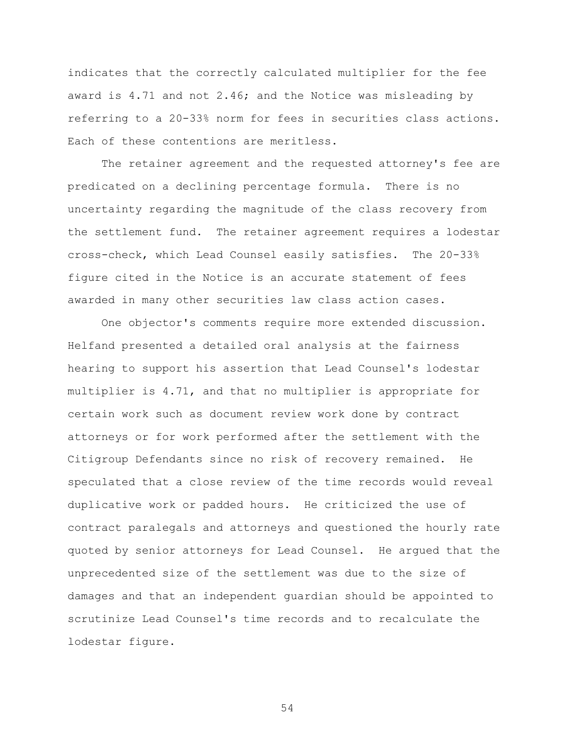indicates that the correctly calculated multiplier for the fee award is 4.71 and not 2.46; and the Notice was misleading by referring to a 20-33% norm for fees in securities class actions. Each of these contentions are meritless.

The retainer agreement and the requested attorney's fee are predicated on a declining percentage formula. There is no uncertainty regarding the magnitude of the class recovery from the settlement fund. The retainer agreement requires a lodestar cross-check, which Lead Counsel easily satisfies. The 20-33% figure cited in the Notice is an accurate statement of fees awarded in many other securities law class action cases.

One objector's comments require more extended discussion. Helfand presented a detailed oral analysis at the fairness hearing to support his assertion that Lead Counsel's lodestar multiplier is 4.71, and that no multiplier is appropriate for certain work such as document review work done by contract attorneys or for work performed after the settlement with the Citigroup Defendants since no risk of recovery remained. He speculated that a close review of the time records would reveal duplicative work or padded hours. He criticized the use of contract paralegals and attorneys and questioned the hourly rate quoted by senior attorneys for Lead Counsel. He argued that the unprecedented size of the settlement was due to the size of damages and that an independent guardian should be appointed to scrutinize Lead Counsel's time records and to recalculate the lodestar figure.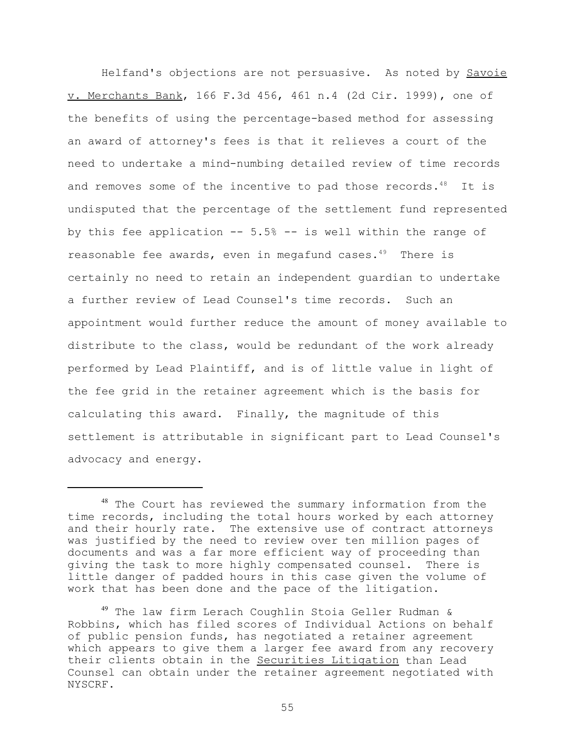Helfand's objections are not persuasive. As noted by Savoie v. Merchants Bank, 166 F.3d 456, 461 n.4 (2d Cir. 1999), one of the benefits of using the percentage-based method for assessing an award of attorney's fees is that it relieves a court of the need to undertake a mind-numbing detailed review of time records and removes some of the incentive to pad those records.<sup>48</sup> It is undisputed that the percentage of the settlement fund represented by this fee application -- 5.5% -- is well within the range of reasonable fee awards, even in megafund cases. $49$  There is certainly no need to retain an independent guardian to undertake a further review of Lead Counsel's time records. Such an appointment would further reduce the amount of money available to distribute to the class, would be redundant of the work already performed by Lead Plaintiff, and is of little value in light of the fee grid in the retainer agreement which is the basis for calculating this award. Finally, the magnitude of this settlement is attributable in significant part to Lead Counsel's advocacy and energy.

<sup>&</sup>lt;sup>48</sup> The Court has reviewed the summary information from the time records, including the total hours worked by each attorney and their hourly rate. The extensive use of contract attorneys was justified by the need to review over ten million pages of documents and was a far more efficient way of proceeding than giving the task to more highly compensated counsel. There is little danger of padded hours in this case given the volume of work that has been done and the pace of the litigation.

<sup>49</sup> The law firm Lerach Coughlin Stoia Geller Rudman & Robbins, which has filed scores of Individual Actions on behalf of public pension funds, has negotiated a retainer agreement which appears to give them a larger fee award from any recovery their clients obtain in the Securities Litigation than Lead Counsel can obtain under the retainer agreement negotiated with NYSCRF.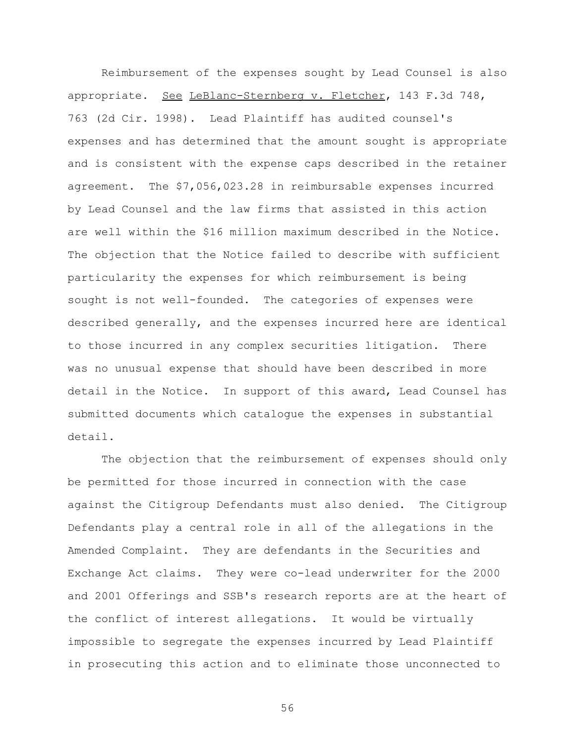Reimbursement of the expenses sought by Lead Counsel is also appropriate. See LeBlanc-Sternberg v. Fletcher, 143 F.3d 748, 763 (2d Cir. 1998). Lead Plaintiff has audited counsel's expenses and has determined that the amount sought is appropriate and is consistent with the expense caps described in the retainer agreement. The \$7,056,023.28 in reimbursable expenses incurred by Lead Counsel and the law firms that assisted in this action are well within the \$16 million maximum described in the Notice. The objection that the Notice failed to describe with sufficient particularity the expenses for which reimbursement is being sought is not well-founded. The categories of expenses were described generally, and the expenses incurred here are identical to those incurred in any complex securities litigation. There was no unusual expense that should have been described in more detail in the Notice. In support of this award, Lead Counsel has submitted documents which catalogue the expenses in substantial detail.

The objection that the reimbursement of expenses should only be permitted for those incurred in connection with the case against the Citigroup Defendants must also denied. The Citigroup Defendants play a central role in all of the allegations in the Amended Complaint. They are defendants in the Securities and Exchange Act claims. They were co-lead underwriter for the 2000 and 2001 Offerings and SSB's research reports are at the heart of the conflict of interest allegations. It would be virtually impossible to segregate the expenses incurred by Lead Plaintiff in prosecuting this action and to eliminate those unconnected to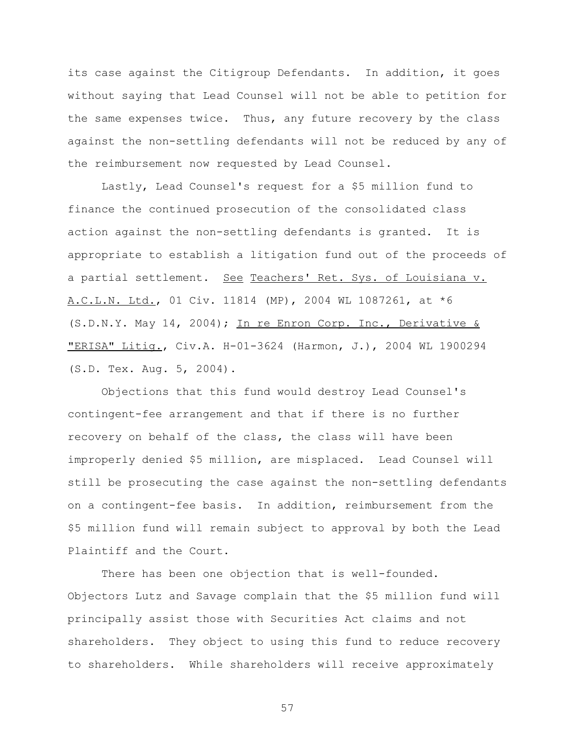its case against the Citigroup Defendants. In addition, it goes without saying that Lead Counsel will not be able to petition for the same expenses twice. Thus, any future recovery by the class against the non-settling defendants will not be reduced by any of the reimbursement now requested by Lead Counsel.

Lastly, Lead Counsel's request for a \$5 million fund to finance the continued prosecution of the consolidated class action against the non-settling defendants is granted. It is appropriate to establish a litigation fund out of the proceeds of a partial settlement. See Teachers' Ret. Sys. of Louisiana v. A.C.L.N. Ltd., 01 Civ. 11814 (MP), 2004 WL 1087261, at \*6 (S.D.N.Y. May 14, 2004); In re Enron Corp. Inc., Derivative & "ERISA" Litig., Civ.A. H-01-3624 (Harmon, J.), 2004 WL 1900294 (S.D. Tex. Aug. 5, 2004).

Objections that this fund would destroy Lead Counsel's contingent-fee arrangement and that if there is no further recovery on behalf of the class, the class will have been improperly denied \$5 million, are misplaced. Lead Counsel will still be prosecuting the case against the non-settling defendants on a contingent-fee basis. In addition, reimbursement from the \$5 million fund will remain subject to approval by both the Lead Plaintiff and the Court.

There has been one objection that is well-founded. Objectors Lutz and Savage complain that the \$5 million fund will principally assist those with Securities Act claims and not shareholders. They object to using this fund to reduce recovery to shareholders. While shareholders will receive approximately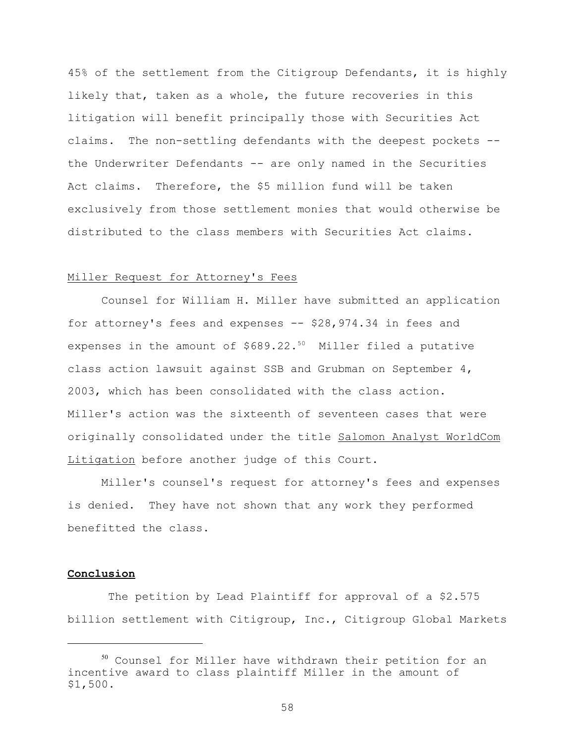45% of the settlement from the Citigroup Defendants, it is highly likely that, taken as a whole, the future recoveries in this litigation will benefit principally those with Securities Act claims. The non-settling defendants with the deepest pockets - the Underwriter Defendants -- are only named in the Securities Act claims. Therefore, the \$5 million fund will be taken exclusively from those settlement monies that would otherwise be distributed to the class members with Securities Act claims.

## Miller Request for Attorney's Fees

Counsel for William H. Miller have submitted an application for attorney's fees and expenses -- \$28,974.34 in fees and expenses in the amount of  $$689.22.^{50}$  Miller filed a putative class action lawsuit against SSB and Grubman on September 4, 2003, which has been consolidated with the class action. Miller's action was the sixteenth of seventeen cases that were originally consolidated under the title Salomon Analyst WorldCom Litigation before another judge of this Court.

Miller's counsel's request for attorney's fees and expenses is denied. They have not shown that any work they performed benefitted the class.

# **Conclusion**

 The petition by Lead Plaintiff for approval of a \$2.575 billion settlement with Citigroup, Inc., Citigroup Global Markets

<sup>50</sup> Counsel for Miller have withdrawn their petition for an incentive award to class plaintiff Miller in the amount of \$1,500.